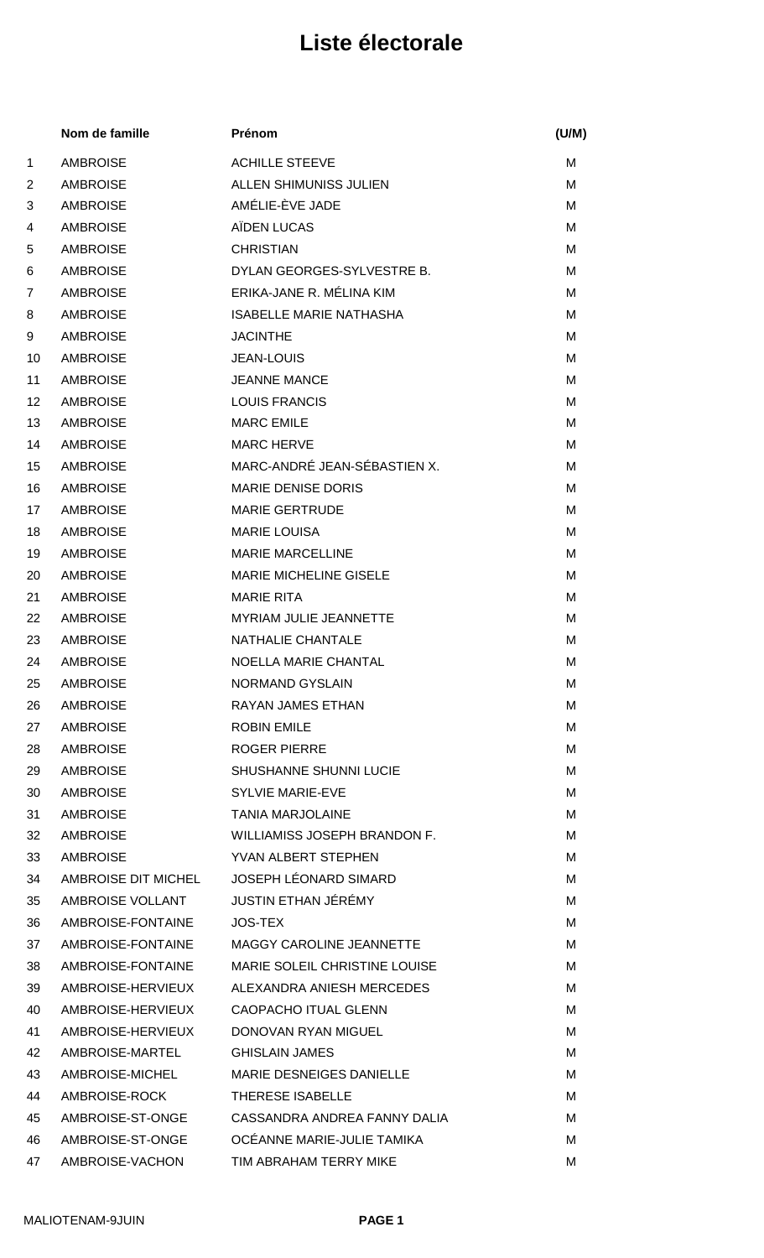|                | Nom de famille      | Prénom                          | (U/M) |
|----------------|---------------------|---------------------------------|-------|
| $\mathbf 1$    | <b>AMBROISE</b>     | <b>ACHILLE STEEVE</b>           | M     |
| $\overline{2}$ | <b>AMBROISE</b>     | ALLEN SHIMUNISS JULIEN          | М     |
| 3              | <b>AMBROISE</b>     | AMÉLIE-ÈVE JADE                 | M     |
| 4              | <b>AMBROISE</b>     | AÏDEN LUCAS                     | M     |
| 5              | <b>AMBROISE</b>     | <b>CHRISTIAN</b>                | M     |
| 6              | <b>AMBROISE</b>     | DYLAN GEORGES-SYLVESTRE B.      | м     |
| 7              | <b>AMBROISE</b>     | ERIKA-JANE R. MÉLINA KIM        | M     |
| 8              | <b>AMBROISE</b>     | <b>ISABELLE MARIE NATHASHA</b>  | M     |
| 9              | <b>AMBROISE</b>     | <b>JACINTHE</b>                 | M     |
| 10             | <b>AMBROISE</b>     | <b>JEAN-LOUIS</b>               | M     |
| 11             | <b>AMBROISE</b>     | <b>JEANNE MANCE</b>             | M     |
| 12             | <b>AMBROISE</b>     | <b>LOUIS FRANCIS</b>            | М     |
| 13             | <b>AMBROISE</b>     | <b>MARC EMILE</b>               | M     |
| 14             | <b>AMBROISE</b>     | <b>MARC HERVE</b>               | м     |
| 15             | <b>AMBROISE</b>     | MARC-ANDRÉ JEAN-SÉBASTIEN X.    | м     |
| 16             | <b>AMBROISE</b>     | <b>MARIE DENISE DORIS</b>       | M     |
| 17             | <b>AMBROISE</b>     | <b>MARIE GERTRUDE</b>           | M     |
| 18             | <b>AMBROISE</b>     | <b>MARIE LOUISA</b>             | M     |
| 19             | <b>AMBROISE</b>     | <b>MARIE MARCELLINE</b>         | M     |
| 20             | <b>AMBROISE</b>     | <b>MARIE MICHELINE GISELE</b>   | M     |
| 21             | <b>AMBROISE</b>     | <b>MARIE RITA</b>               | м     |
| 22             | <b>AMBROISE</b>     | MYRIAM JULIE JEANNETTE          | м     |
| 23             | <b>AMBROISE</b>     | NATHALIE CHANTALE               | M     |
| 24             | <b>AMBROISE</b>     | NOELLA MARIE CHANTAL            | M     |
| 25             | <b>AMBROISE</b>     | NORMAND GYSLAIN                 | м     |
| 26             | <b>AMBROISE</b>     | <b>RAYAN JAMES ETHAN</b>        | м     |
| 27             | AMBROISE            | <b>ROBIN EMILE</b>              | м     |
| 28             | <b>AMBROISE</b>     | <b>ROGER PIERRE</b>             | M     |
| 29             | <b>AMBROISE</b>     | <b>SHUSHANNE SHUNNI LUCIE</b>   | М     |
| 30             | <b>AMBROISE</b>     | <b>SYLVIE MARIE-EVE</b>         | M     |
| 31             | <b>AMBROISE</b>     | <b>TANIA MARJOLAINE</b>         | M     |
| 32             | <b>AMBROISE</b>     | WILLIAMISS JOSEPH BRANDON F.    | м     |
| 33             | <b>AMBROISE</b>     | YVAN ALBERT STEPHEN             | M     |
| 34             | AMBROISE DIT MICHEL | JOSEPH LÉONARD SIMARD           | м     |
| 35             | AMBROISE VOLLANT    | JUSTIN ETHAN JÉRÉMY             | м     |
| 36             | AMBROISE-FONTAINE   | <b>JOS-TEX</b>                  | м     |
| 37             | AMBROISE-FONTAINE   | <b>MAGGY CAROLINE JEANNETTE</b> | M     |
| 38             | AMBROISE-FONTAINE   | MARIE SOLEIL CHRISTINE LOUISE   | м     |
| 39             | AMBROISE-HERVIEUX   | ALEXANDRA ANIESH MERCEDES       | M     |
| 40             | AMBROISE-HERVIEUX   | CAOPACHO ITUAL GLENN            | М     |
| 41             | AMBROISE-HERVIEUX   | DONOVAN RYAN MIGUEL             | M     |
| 42             | AMBROISE-MARTEL     | <b>GHISLAIN JAMES</b>           | м     |
| 43             | AMBROISE-MICHEL     | MARIE DESNEIGES DANIELLE        | М     |
| 44             | AMBROISE-ROCK       | THERESE ISABELLE                | м     |
| 45             | AMBROISE-ST-ONGE    | CASSANDRA ANDREA FANNY DALIA    | м     |
| 46             | AMBROISE-ST-ONGE    | OCÉANNE MARIE-JULIE TAMIKA      | M     |
| 47             | AMBROISE-VACHON     | TIM ABRAHAM TERRY MIKE          | M     |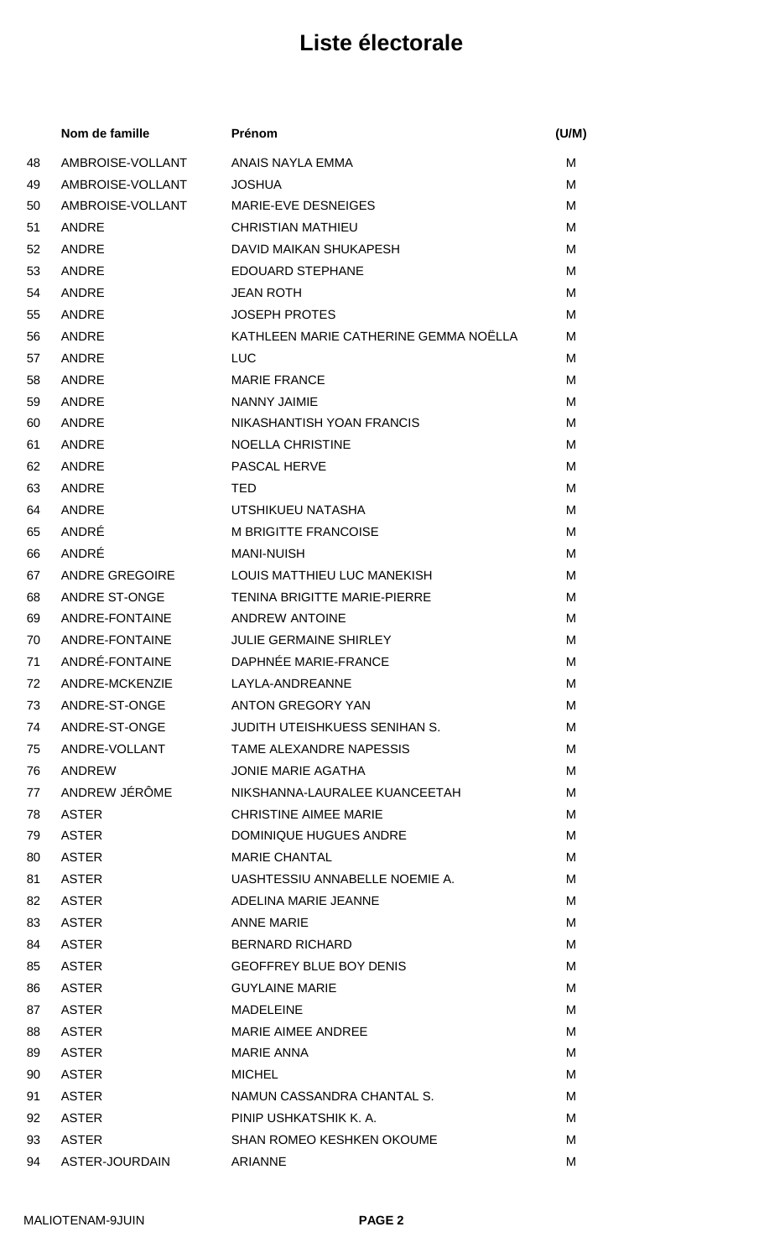|    | Nom de famille        | Prénom                                | (U/M) |
|----|-----------------------|---------------------------------------|-------|
| 48 | AMBROISE-VOLLANT      | ANAIS NAYLA EMMA                      | м     |
| 49 | AMBROISE-VOLLANT      | <b>JOSHUA</b>                         | м     |
| 50 | AMBROISE-VOLLANT      | MARIE-EVE DESNEIGES                   | м     |
| 51 | ANDRE                 | <b>CHRISTIAN MATHIEU</b>              | M     |
| 52 | ANDRE                 | DAVID MAIKAN SHUKAPESH                | м     |
| 53 | ANDRE                 | <b>EDOUARD STEPHANE</b>               | M     |
| 54 | ANDRE                 | <b>JEAN ROTH</b>                      | M     |
| 55 | <b>ANDRE</b>          | <b>JOSEPH PROTES</b>                  | M     |
| 56 | ANDRE                 | KATHLEEN MARIE CATHERINE GEMMA NOËLLA | M     |
| 57 | ANDRE                 | <b>LUC</b>                            | м     |
| 58 | ANDRE                 | <b>MARIE FRANCE</b>                   | M     |
| 59 | ANDRE                 | <b>NANNY JAIMIE</b>                   | м     |
| 60 | ANDRE                 | NIKASHANTISH YOAN FRANCIS             | M     |
| 61 | ANDRE                 | <b>NOELLA CHRISTINE</b>               | M     |
| 62 | ANDRE                 | PASCAL HERVE                          | м     |
| 63 | ANDRE                 | TED                                   | M     |
| 64 | ANDRE                 | UTSHIKUEU NATASHA                     | M     |
| 65 | ANDRÉ                 | <b>M BRIGITTE FRANCOISE</b>           | м     |
| 66 | ANDRÉ                 | <b>MANI-NUISH</b>                     | M     |
| 67 | <b>ANDRE GREGOIRE</b> | LOUIS MATTHIEU LUC MANEKISH           | м     |
| 68 | <b>ANDRE ST-ONGE</b>  | <b>TENINA BRIGITTE MARIE-PIERRE</b>   | м     |
| 69 | ANDRE-FONTAINE        | <b>ANDREW ANTOINE</b>                 | м     |
| 70 | ANDRE-FONTAINE        | <b>JULIE GERMAINE SHIRLEY</b>         | M     |
| 71 | ANDRÉ-FONTAINE        | DAPHNÉE MARIE-FRANCE                  | M     |
| 72 | ANDRE-MCKENZIE        | LAYLA-ANDREANNE                       | М     |
| 73 | ANDRE-ST-ONGE         | ANTON GREGORY YAN                     | M     |
| 74 | ANDRE-ST-ONGE         | JUDITH UTEISHKUESS SENIHAN S.         | м     |
| 75 | ANDRE-VOLLANT         | TAME ALEXANDRE NAPESSIS               | м     |
| 76 | ANDREW                | JONIE MARIE AGATHA                    | M     |
| 77 | ANDREW JÉRÔME         | NIKSHANNA-LAURALEE KUANCEETAH         | м     |
| 78 | <b>ASTER</b>          | <b>CHRISTINE AIMEE MARIE</b>          | м     |
| 79 | <b>ASTER</b>          | DOMINIQUE HUGUES ANDRE                | м     |
| 80 | <b>ASTER</b>          | <b>MARIE CHANTAL</b>                  | M     |
| 81 | <b>ASTER</b>          | UASHTESSIU ANNABELLE NOEMIE A.        | м     |
| 82 | <b>ASTER</b>          | ADELINA MARIE JEANNE                  | м     |
| 83 | <b>ASTER</b>          | <b>ANNE MARIE</b>                     | M     |
| 84 | <b>ASTER</b>          | <b>BERNARD RICHARD</b>                | м     |
| 85 | <b>ASTER</b>          | <b>GEOFFREY BLUE BOY DENIS</b>        | м     |
| 86 | <b>ASTER</b>          | <b>GUYLAINE MARIE</b>                 | M     |
| 87 | <b>ASTER</b>          | <b>MADELEINE</b>                      | м     |
| 88 | <b>ASTER</b>          | <b>MARIE AIMEE ANDREE</b>             | м     |
| 89 | <b>ASTER</b>          | <b>MARIE ANNA</b>                     | м     |
| 90 | <b>ASTER</b>          | <b>MICHEL</b>                         | м     |
| 91 | <b>ASTER</b>          | NAMUN CASSANDRA CHANTAL S.            | м     |
| 92 | <b>ASTER</b>          | PINIP USHKATSHIK K. A.                | м     |
| 93 | <b>ASTER</b>          | <b>SHAN ROMEO KESHKEN OKOUME</b>      | м     |
| 94 | ASTER-JOURDAIN        | <b>ARIANNE</b>                        | м     |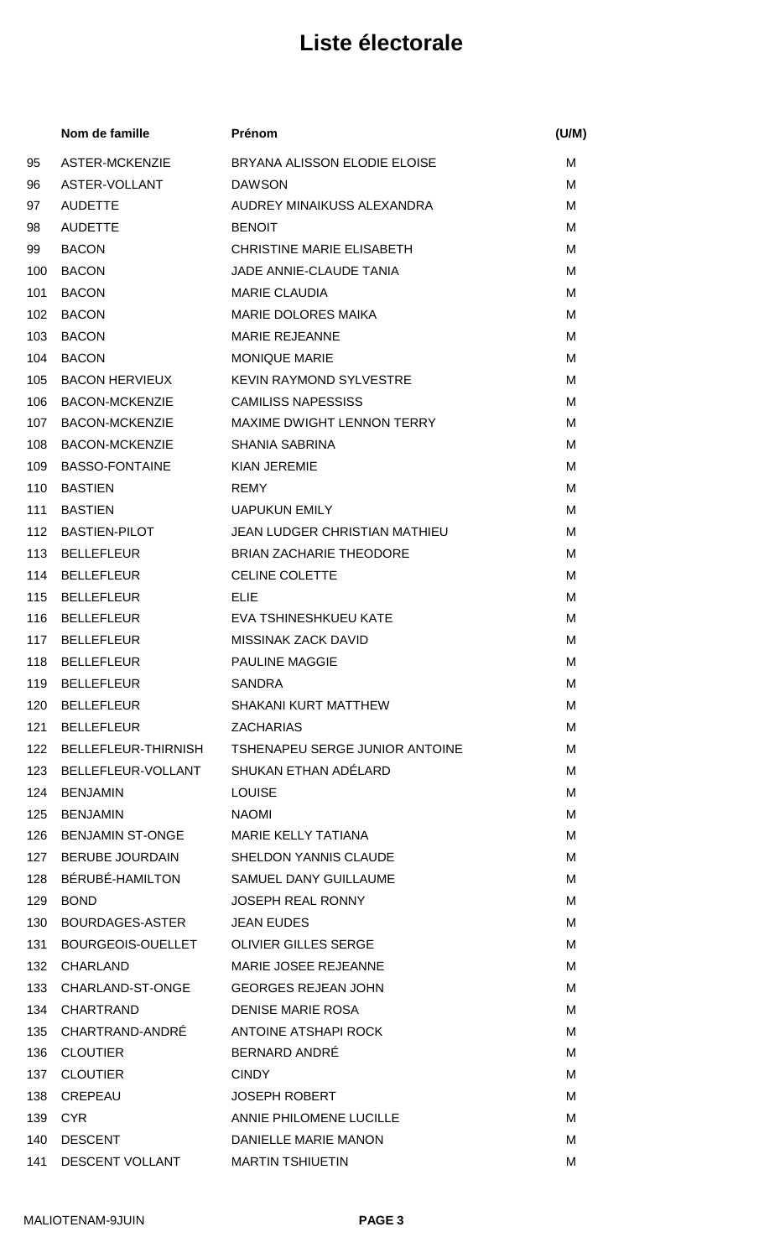|     | Nom de famille                         | Prénom                                                 | (U/M) |
|-----|----------------------------------------|--------------------------------------------------------|-------|
| 95  | <b>ASTER-MCKENZIE</b>                  | BRYANA ALISSON ELODIE ELOISE                           | М     |
| 96  | ASTER-VOLLANT                          | <b>DAWSON</b>                                          | М     |
| 97  | <b>AUDETTE</b>                         | AUDREY MINAIKUSS ALEXANDRA                             | М     |
| 98  | <b>AUDETTE</b>                         | <b>BENOIT</b>                                          | м     |
| 99  | <b>BACON</b>                           | <b>CHRISTINE MARIE ELISABETH</b>                       | M     |
| 100 | <b>BACON</b>                           | JADE ANNIE-CLAUDE TANIA                                | м     |
| 101 | <b>BACON</b>                           | <b>MARIE CLAUDIA</b>                                   | M     |
| 102 | <b>BACON</b>                           | <b>MARIE DOLORES MAIKA</b>                             | М     |
| 103 | <b>BACON</b>                           | <b>MARIE REJEANNE</b>                                  | м     |
| 104 | <b>BACON</b>                           | <b>MONIQUE MARIE</b>                                   | M     |
| 105 | <b>BACON HERVIEUX</b>                  | <b>KEVIN RAYMOND SYLVESTRE</b>                         | м     |
| 106 | <b>BACON-MCKENZIE</b>                  | <b>CAMILISS NAPESSISS</b>                              | М     |
| 107 | <b>BACON-MCKENZIE</b>                  | MAXIME DWIGHT LENNON TERRY                             | М     |
| 108 | <b>BACON-MCKENZIE</b>                  | <b>SHANIA SABRINA</b>                                  | м     |
| 109 | <b>BASSO-FONTAINE</b>                  | <b>KIAN JEREMIE</b>                                    | М     |
| 110 | <b>BASTIEN</b>                         | <b>REMY</b>                                            | м     |
| 111 | <b>BASTIEN</b>                         | <b>UAPUKUN EMILY</b>                                   | М     |
| 112 | <b>BASTIEN-PILOT</b>                   | <b>JEAN LUDGER CHRISTIAN MATHIEU</b>                   | M     |
| 113 | <b>BELLEFLEUR</b>                      | <b>BRIAN ZACHARIE THEODORE</b>                         | М     |
| 114 | <b>BELLEFLEUR</b>                      | <b>CELINE COLETTE</b>                                  | м     |
| 115 | <b>BELLEFLEUR</b>                      | <b>ELIE</b>                                            | М     |
| 116 | <b>BELLEFLEUR</b>                      | EVA TSHINESHKUEU KATE                                  | М     |
| 117 | <b>BELLEFLEUR</b>                      | <b>MISSINAK ZACK DAVID</b>                             | М     |
| 118 | <b>BELLEFLEUR</b>                      | <b>PAULINE MAGGIE</b>                                  | М     |
|     | 119 BELLEFLEUR                         | SANDRA                                                 | м     |
| 120 | <b>BELLEFLEUR</b>                      | SHAKANI KURT MATTHEW                                   | м     |
| 121 | BELLEFLEUR                             | <b>ZACHARIAS</b>                                       | м     |
|     |                                        | 122 BELLEFLEUR-THIRNISH TSHENAPEU SERGE JUNIOR ANTOINE | м     |
| 123 | BELLEFLEUR-VOLLANT                     | SHUKAN ETHAN ADÉLARD                                   | м     |
| 124 | <b>BENJAMIN</b>                        | <b>LOUISE</b>                                          | M     |
| 125 | <b>BENJAMIN</b>                        | <b>NAOMI</b>                                           | М     |
|     | 126 BENJAMIN ST-ONGE                   | <b>MARIE KELLY TATIANA</b>                             | м     |
|     | 127 BERUBE JOURDAIN                    | <b>SHELDON YANNIS CLAUDE</b>                           | М     |
| 128 | BÉRUBÉ-HAMILTON                        | <b>SAMUEL DANY GUILLAUME</b>                           | М     |
| 129 | <b>BOND</b>                            | <b>JOSEPH REAL RONNY</b>                               | м     |
| 130 | BOURDAGES-ASTER                        | <b>JEAN EUDES</b>                                      | м     |
| 131 | BOURGEOIS-OUELLET OLIVIER GILLES SERGE |                                                        | м     |
| 132 | <b>CHARLAND</b>                        | MARIE JOSEE REJEANNE                                   | м     |
| 133 | CHARLAND-ST-ONGE                       | <b>GEORGES REJEAN JOHN</b>                             | M     |
|     | 134 CHARTRAND                          | <b>DENISE MARIE ROSA</b>                               | м     |
|     | 135 CHARTRAND-ANDRÉ                    | ANTOINE ATSHAPI ROCK                                   | M     |
| 136 | <b>CLOUTIER</b>                        | BERNARD ANDRÉ                                          | М     |
| 137 | <b>CLOUTIER</b>                        | <b>CINDY</b>                                           | M     |
| 138 | CREPEAU                                | <b>JOSEPH ROBERT</b>                                   | М     |
| 139 | CYR.                                   | ANNIE PHILOMENE LUCILLE                                | м     |
| 140 | <b>DESCENT</b>                         | DANIELLE MARIE MANON                                   | М     |
| 141 | <b>DESCENT VOLLANT</b>                 | <b>MARTIN TSHIUETIN</b>                                | M     |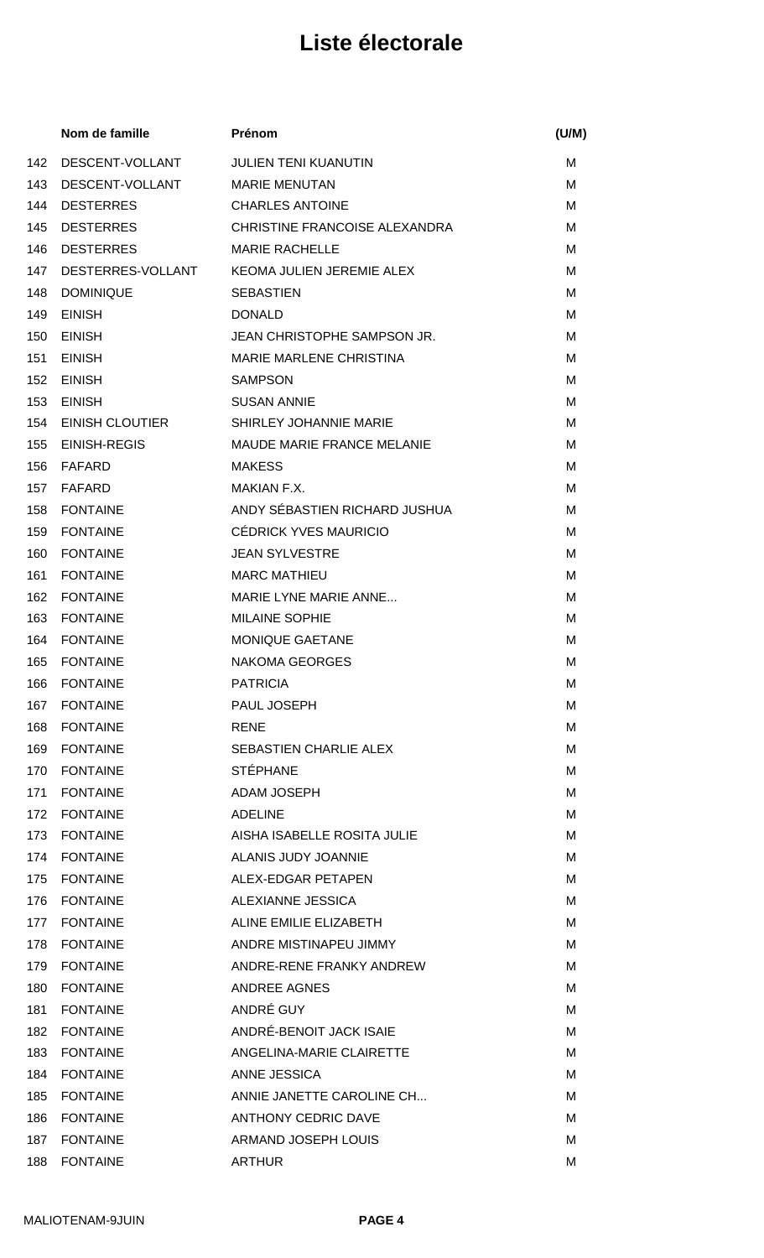|     | Nom de famille         | Prénom                            | (U/M) |
|-----|------------------------|-----------------------------------|-------|
| 142 | DESCENT-VOLLANT        | <b>JULIEN TENI KUANUTIN</b>       | М     |
| 143 | DESCENT-VOLLANT        | <b>MARIE MENUTAN</b>              | М     |
| 144 | <b>DESTERRES</b>       | <b>CHARLES ANTOINE</b>            | м     |
| 145 | <b>DESTERRES</b>       | CHRISTINE FRANCOISE ALEXANDRA     | м     |
| 146 | <b>DESTERRES</b>       | <b>MARIE RACHELLE</b>             | м     |
| 147 | DESTERRES-VOLLANT      | KEOMA JULIEN JEREMIE ALEX         | м     |
| 148 | <b>DOMINIQUE</b>       | <b>SEBASTIEN</b>                  | М     |
| 149 | <b>EINISH</b>          | <b>DONALD</b>                     | м     |
| 150 | <b>EINISH</b>          | JEAN CHRISTOPHE SAMPSON JR.       | м     |
| 151 | <b>EINISH</b>          | <b>MARIE MARLENE CHRISTINA</b>    | м     |
| 152 | <b>EINISH</b>          | <b>SAMPSON</b>                    | м     |
| 153 | <b>EINISH</b>          | <b>SUSAN ANNIE</b>                | М     |
| 154 | <b>EINISH CLOUTIER</b> | SHIRLEY JOHANNIE MARIE            | М     |
| 155 | <b>EINISH-REGIS</b>    | <b>MAUDE MARIE FRANCE MELANIE</b> | м     |
| 156 | FAFARD                 | <b>MAKESS</b>                     | М     |
| 157 | FAFARD                 | <b>MAKIAN F.X.</b>                | м     |
| 158 | <b>FONTAINE</b>        | ANDY SÉBASTIEN RICHARD JUSHUA     | М     |
| 159 | <b>FONTAINE</b>        | CÉDRICK YVES MAURICIO             | м     |
| 160 | <b>FONTAINE</b>        | <b>JEAN SYLVESTRE</b>             | м     |
| 161 | <b>FONTAINE</b>        | <b>MARC MATHIEU</b>               | M     |
| 162 | <b>FONTAINE</b>        | MARIE LYNE MARIE ANNE             | м     |
| 163 | <b>FONTAINE</b>        | <b>MILAINE SOPHIE</b>             | М     |
| 164 | <b>FONTAINE</b>        | <b>MONIQUE GAETANE</b>            | М     |
| 165 | <b>FONTAINE</b>        | <b>NAKOMA GEORGES</b>             | M     |
|     | 166 FONTAINE           | PATRICIA                          | М     |
| 167 | <b>FONTAINE</b>        | PAUL JOSEPH                       | М     |
| 168 | <b>FONTAINE</b>        | <b>RENE</b>                       | М     |
| 169 | <b>FONTAINE</b>        | <b>SEBASTIEN CHARLIE ALEX</b>     | M     |
| 170 | <b>FONTAINE</b>        | <b>STÉPHANE</b>                   | м     |
| 171 | <b>FONTAINE</b>        | <b>ADAM JOSEPH</b>                | M     |
| 172 | <b>FONTAINE</b>        | <b>ADELINE</b>                    | М     |
| 173 | <b>FONTAINE</b>        | AISHA ISABELLE ROSITA JULIE       | М     |
| 174 | <b>FONTAINE</b>        | ALANIS JUDY JOANNIE               | М     |
| 175 | <b>FONTAINE</b>        | ALEX-EDGAR PETAPEN                | М     |
| 176 | <b>FONTAINE</b>        | ALEXIANNE JESSICA                 | М     |
| 177 | <b>FONTAINE</b>        | ALINE EMILIE ELIZABETH            | м     |
| 178 | <b>FONTAINE</b>        | ANDRE MISTINAPEU JIMMY            | М     |
| 179 | <b>FONTAINE</b>        | ANDRE-RENE FRANKY ANDREW          | М     |
| 180 | <b>FONTAINE</b>        | <b>ANDREE AGNES</b>               | M     |
| 181 | <b>FONTAINE</b>        | ANDRÉ GUY                         | М     |
| 182 | <b>FONTAINE</b>        | ANDRÉ-BENOIT JACK ISAIE           | M     |
| 183 | <b>FONTAINE</b>        | ANGELINA-MARIE CLAIRETTE          | М     |
| 184 | <b>FONTAINE</b>        | ANNE JESSICA                      | M     |
| 185 | <b>FONTAINE</b>        | ANNIE JANETTE CAROLINE CH         | м     |
| 186 | <b>FONTAINE</b>        | <b>ANTHONY CEDRIC DAVE</b>        | М     |
| 187 | <b>FONTAINE</b>        | ARMAND JOSEPH LOUIS               | M     |
| 188 | <b>FONTAINE</b>        | <b>ARTHUR</b>                     | M     |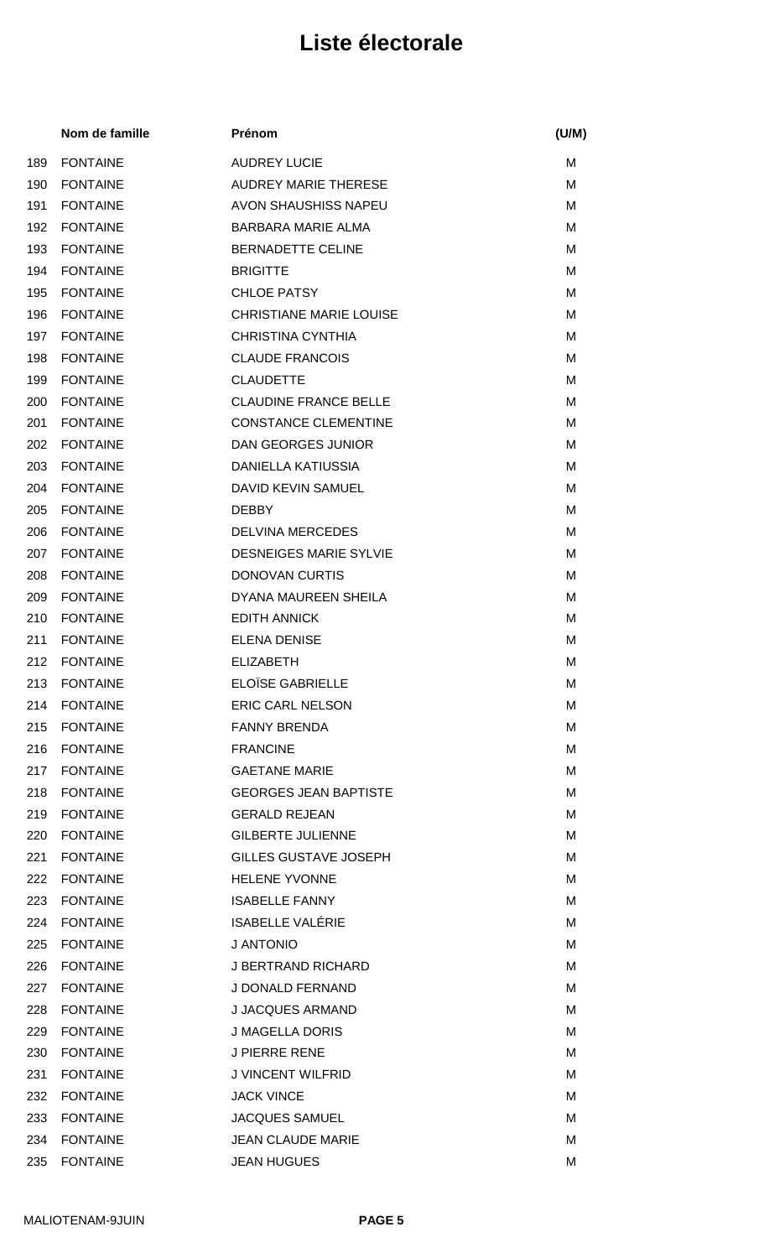|     | Nom de famille  | Prénom                         | (U/M) |
|-----|-----------------|--------------------------------|-------|
| 189 | <b>FONTAINE</b> | <b>AUDREY LUCIE</b>            | м     |
| 190 | <b>FONTAINE</b> | <b>AUDREY MARIE THERESE</b>    | M     |
| 191 | <b>FONTAINE</b> | AVON SHAUSHISS NAPEU           | M     |
| 192 | <b>FONTAINE</b> | <b>BARBARA MARIE ALMA</b>      | M     |
| 193 | <b>FONTAINE</b> | <b>BERNADETTE CELINE</b>       | M     |
| 194 | <b>FONTAINE</b> | <b>BRIGITTE</b>                | м     |
| 195 | <b>FONTAINE</b> | <b>CHLOE PATSY</b>             | М     |
| 196 | <b>FONTAINE</b> | <b>CHRISTIANE MARIE LOUISE</b> | м     |
| 197 | <b>FONTAINE</b> | <b>CHRISTINA CYNTHIA</b>       | M     |
| 198 | <b>FONTAINE</b> | <b>CLAUDE FRANCOIS</b>         | M     |
| 199 | <b>FONTAINE</b> | <b>CLAUDETTE</b>               | M     |
| 200 | <b>FONTAINE</b> | <b>CLAUDINE FRANCE BELLE</b>   | M     |
| 201 | <b>FONTAINE</b> | <b>CONSTANCE CLEMENTINE</b>    | M     |
| 202 | <b>FONTAINE</b> | DAN GEORGES JUNIOR             | M     |
| 203 | <b>FONTAINE</b> | <b>DANIELLA KATIUSSIA</b>      | М     |
| 204 | <b>FONTAINE</b> | DAVID KEVIN SAMUEL             | м     |
| 205 | <b>FONTAINE</b> | <b>DEBBY</b>                   | М     |
| 206 | <b>FONTAINE</b> | <b>DELVINA MERCEDES</b>        | M     |
| 207 | <b>FONTAINE</b> | <b>DESNEIGES MARIE SYLVIE</b>  | M     |
| 208 | <b>FONTAINE</b> | <b>DONOVAN CURTIS</b>          | M     |
| 209 | <b>FONTAINE</b> | DYANA MAUREEN SHEILA           | м     |
| 210 | <b>FONTAINE</b> | <b>EDITH ANNICK</b>            | M     |
| 211 | <b>FONTAINE</b> | <b>ELENA DENISE</b>            | M     |
| 212 | <b>FONTAINE</b> | <b>ELIZABETH</b>               | M     |
|     | 213 FONTAINE    | ELOÏSE GABRIELLE               | М     |
| 214 | <b>FONTAINE</b> | <b>ERIC CARL NELSON</b>        | М     |
| 215 | <b>FONTAINE</b> | <b>FANNY BRENDA</b>            | М     |
| 216 | <b>FONTAINE</b> | <b>FRANCINE</b>                | M     |
| 217 | <b>FONTAINE</b> | <b>GAETANE MARIE</b>           | м     |
| 218 | <b>FONTAINE</b> | <b>GEORGES JEAN BAPTISTE</b>   | М     |
| 219 | <b>FONTAINE</b> | <b>GERALD REJEAN</b>           | M     |
| 220 | <b>FONTAINE</b> | <b>GILBERTE JULIENNE</b>       | М     |
| 221 | <b>FONTAINE</b> | GILLES GUSTAVE JOSEPH          | M     |
| 222 | <b>FONTAINE</b> | <b>HELENE YVONNE</b>           | М     |
| 223 | <b>FONTAINE</b> | <b>ISABELLE FANNY</b>          | М     |
| 224 | <b>FONTAINE</b> | <b>ISABELLE VALÉRIE</b>        | м     |
| 225 | <b>FONTAINE</b> | J ANTONIO                      | M     |
| 226 | <b>FONTAINE</b> | <b>J BERTRAND RICHARD</b>      | М     |
| 227 | <b>FONTAINE</b> | J DONALD FERNAND               | М     |
| 228 | <b>FONTAINE</b> | <b>J JACQUES ARMAND</b>        | м     |
| 229 | <b>FONTAINE</b> | <b>J MAGELLA DORIS</b>         | M     |
| 230 | <b>FONTAINE</b> | <b>J PIERRE RENE</b>           | M     |
| 231 | <b>FONTAINE</b> | J VINCENT WILFRID              | M     |
| 232 | <b>FONTAINE</b> | <b>JACK VINCE</b>              | M     |
| 233 | <b>FONTAINE</b> | <b>JACQUES SAMUEL</b>          | М     |
| 234 | <b>FONTAINE</b> | <b>JEAN CLAUDE MARIE</b>       | М     |
| 235 | <b>FONTAINE</b> | <b>JEAN HUGUES</b>             | Μ     |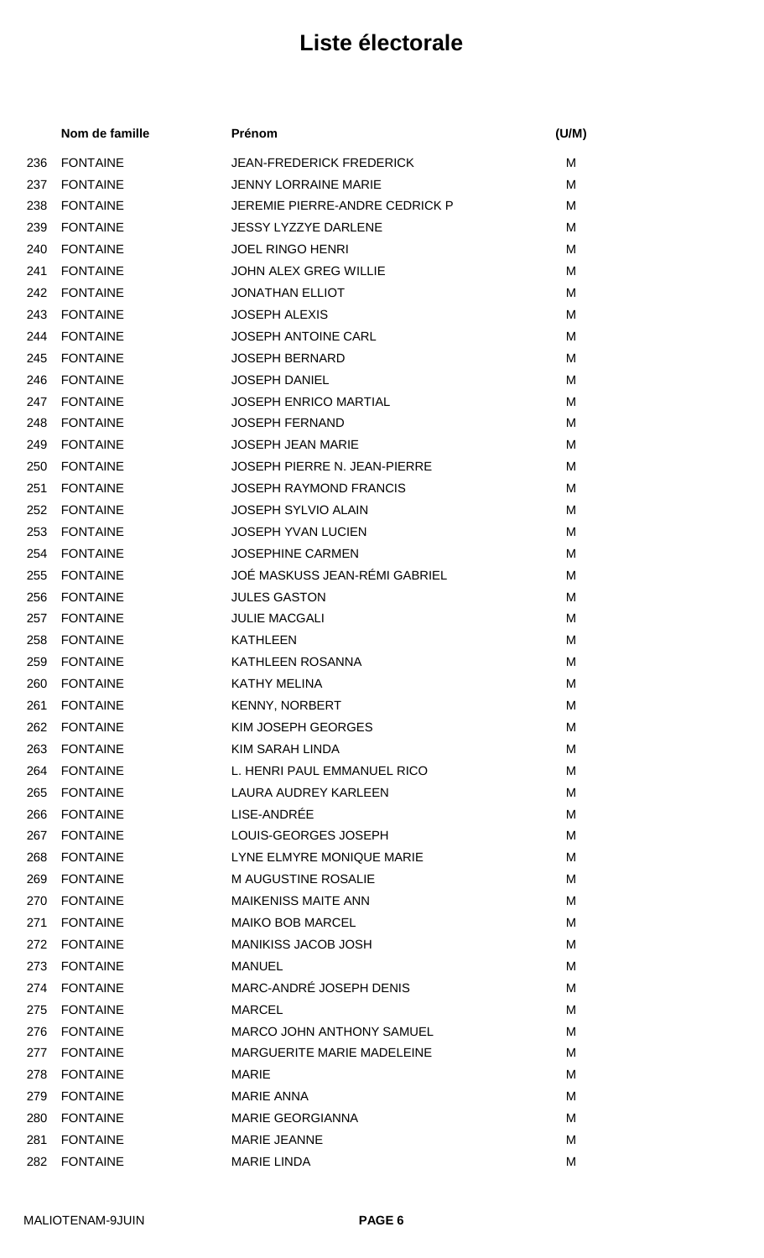|     | Nom de famille  | Prénom                              | (U/M) |
|-----|-----------------|-------------------------------------|-------|
| 236 | <b>FONTAINE</b> | <b>JEAN-FREDERICK FREDERICK</b>     | М     |
| 237 | <b>FONTAINE</b> | <b>JENNY LORRAINE MARIE</b>         | M     |
| 238 | <b>FONTAINE</b> | JEREMIE PIERRE-ANDRE CEDRICK P      | м     |
| 239 | <b>FONTAINE</b> | <b>JESSY LYZZYE DARLENE</b>         | M     |
| 240 | <b>FONTAINE</b> | <b>JOEL RINGO HENRI</b>             | M     |
| 241 | <b>FONTAINE</b> | <b>JOHN ALEX GREG WILLIE</b>        | м     |
| 242 | <b>FONTAINE</b> | <b>JONATHAN ELLIOT</b>              | M     |
| 243 | <b>FONTAINE</b> | <b>JOSEPH ALEXIS</b>                | м     |
| 244 | <b>FONTAINE</b> | <b>JOSEPH ANTOINE CARL</b>          | M     |
| 245 | <b>FONTAINE</b> | <b>JOSEPH BERNARD</b>               | M     |
| 246 | <b>FONTAINE</b> | <b>JOSEPH DANIEL</b>                | M     |
| 247 | <b>FONTAINE</b> | <b>JOSEPH ENRICO MARTIAL</b>        | м     |
| 248 | <b>FONTAINE</b> | <b>JOSEPH FERNAND</b>               | М     |
| 249 | <b>FONTAINE</b> | <b>JOSEPH JEAN MARIE</b>            | M     |
| 250 | <b>FONTAINE</b> | <b>JOSEPH PIERRE N. JEAN-PIERRE</b> | M     |
| 251 | <b>FONTAINE</b> | <b>JOSEPH RAYMOND FRANCIS</b>       | M     |
| 252 | <b>FONTAINE</b> | <b>JOSEPH SYLVIO ALAIN</b>          | M     |
| 253 | <b>FONTAINE</b> | <b>JOSEPH YVAN LUCIEN</b>           | м     |
| 254 | <b>FONTAINE</b> | <b>JOSEPHINE CARMEN</b>             | M     |
| 255 | <b>FONTAINE</b> | JOÉ MASKUSS JEAN-RÉMI GABRIEL       | M     |
| 256 | <b>FONTAINE</b> | <b>JULES GASTON</b>                 | M     |
| 257 | <b>FONTAINE</b> | <b>JULIE MACGALI</b>                | M     |
| 258 | <b>FONTAINE</b> | <b>KATHLEEN</b>                     | M     |
| 259 | <b>FONTAINE</b> | KATHLEEN ROSANNA                    | M     |
|     | 260 FONTAINE    | KATHY MELINA                        | М     |
| 261 | <b>FONTAINE</b> | <b>KENNY, NORBERT</b>               | M     |
| 262 | <b>FONTAINE</b> | KIM JOSEPH GEORGES                  | м     |
| 263 | <b>FONTAINE</b> | KIM SARAH LINDA                     | M     |
| 264 | <b>FONTAINE</b> | L. HENRI PAUL EMMANUEL RICO         | м     |
| 265 | <b>FONTAINE</b> | LAURA AUDREY KARLEEN                | M     |
| 266 | <b>FONTAINE</b> | LISE-ANDRÉE                         | м     |
| 267 | <b>FONTAINE</b> | LOUIS-GEORGES JOSEPH                | M     |
| 268 | <b>FONTAINE</b> | LYNE ELMYRE MONIQUE MARIE           | м     |
| 269 | <b>FONTAINE</b> | <b>M AUGUSTINE ROSALIE</b>          | M     |
| 270 | <b>FONTAINE</b> | <b>MAIKENISS MAITE ANN</b>          | M     |
| 271 | <b>FONTAINE</b> | <b>MAIKO BOB MARCEL</b>             | M     |
| 272 | <b>FONTAINE</b> | <b>MANIKISS JACOB JOSH</b>          | M     |
| 273 | <b>FONTAINE</b> | <b>MANUEL</b>                       | м     |
| 274 | <b>FONTAINE</b> | MARC-ANDRÉ JOSEPH DENIS             | M     |
| 275 | <b>FONTAINE</b> | <b>MARCEL</b>                       | M     |
| 276 | <b>FONTAINE</b> | <b>MARCO JOHN ANTHONY SAMUEL</b>    | M     |
| 277 | <b>FONTAINE</b> | <b>MARGUERITE MARIE MADELEINE</b>   | M     |
| 278 | <b>FONTAINE</b> | <b>MARIE</b>                        | M     |
| 279 | <b>FONTAINE</b> | <b>MARIE ANNA</b>                   | M     |
| 280 | <b>FONTAINE</b> | <b>MARIE GEORGIANNA</b>             | M     |
| 281 | <b>FONTAINE</b> | <b>MARIE JEANNE</b>                 | M     |
| 282 | <b>FONTAINE</b> | <b>MARIE LINDA</b>                  | M     |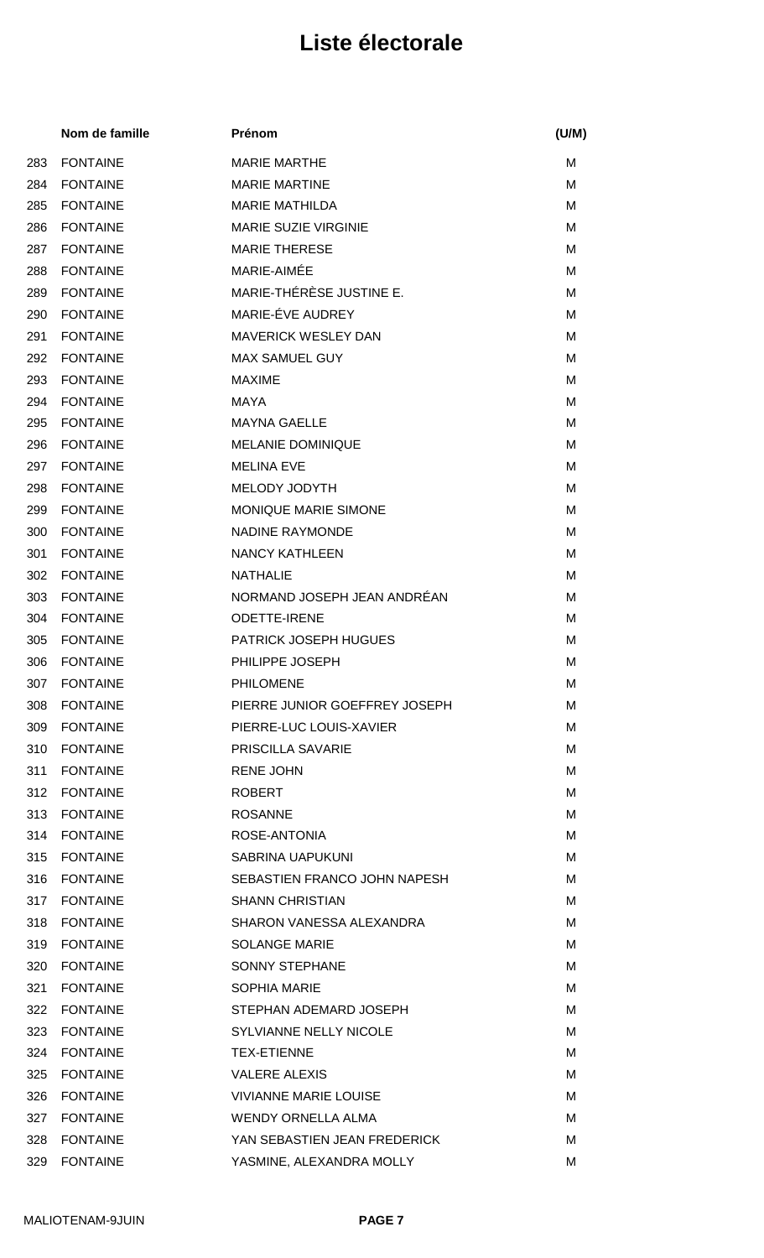|     | Nom de famille  | Prénom                        | (U/M) |
|-----|-----------------|-------------------------------|-------|
| 283 | <b>FONTAINE</b> | <b>MARIE MARTHE</b>           | M     |
| 284 | <b>FONTAINE</b> | <b>MARIE MARTINE</b>          | M     |
| 285 | <b>FONTAINE</b> | <b>MARIE MATHILDA</b>         | M     |
| 286 | <b>FONTAINE</b> | <b>MARIE SUZIE VIRGINIE</b>   | M     |
| 287 | <b>FONTAINE</b> | <b>MARIE THERESE</b>          | M     |
| 288 | <b>FONTAINE</b> | MARIE-AIMÉE                   | M     |
| 289 | <b>FONTAINE</b> | MARIE-THÉRÈSE JUSTINE E.      | M     |
| 290 | <b>FONTAINE</b> | MARIE-ÉVE AUDREY              | M     |
| 291 | <b>FONTAINE</b> | <b>MAVERICK WESLEY DAN</b>    | M     |
| 292 | <b>FONTAINE</b> | <b>MAX SAMUEL GUY</b>         | м     |
| 293 | <b>FONTAINE</b> | <b>MAXIME</b>                 | M     |
| 294 | <b>FONTAINE</b> | MAYA                          | M     |
| 295 | <b>FONTAINE</b> | <b>MAYNA GAELLE</b>           | M     |
| 296 | <b>FONTAINE</b> | <b>MELANIE DOMINIQUE</b>      | M     |
| 297 | <b>FONTAINE</b> | <b>MELINA EVE</b>             | M     |
| 298 | <b>FONTAINE</b> | MELODY JODYTH                 | м     |
| 299 | <b>FONTAINE</b> | MONIQUE MARIE SIMONE          | M     |
| 300 | <b>FONTAINE</b> | <b>NADINE RAYMONDE</b>        | M     |
| 301 | <b>FONTAINE</b> | <b>NANCY KATHLEEN</b>         | м     |
| 302 | <b>FONTAINE</b> | <b>NATHALIE</b>               | M     |
| 303 | <b>FONTAINE</b> | NORMAND JOSEPH JEAN ANDRÉAN   | м     |
| 304 | <b>FONTAINE</b> | <b>ODETTE-IRENE</b>           | M     |
| 305 | <b>FONTAINE</b> | PATRICK JOSEPH HUGUES         | М     |
| 306 | <b>FONTAINE</b> | PHILIPPE JOSEPH               | м     |
|     | 307 FONTAINE    | PHILOMENE                     | Μ     |
| 308 | <b>FONTAINE</b> | PIERRE JUNIOR GOEFFREY JOSEPH | м     |
| 309 | <b>FONTAINE</b> | PIERRE-LUC LOUIS-XAVIER       | м     |
| 310 | <b>FONTAINE</b> | <b>PRISCILLA SAVARIE</b>      | M     |
| 311 | <b>FONTAINE</b> | <b>RENE JOHN</b>              | м     |
| 312 | <b>FONTAINE</b> | <b>ROBERT</b>                 | M     |
| 313 | <b>FONTAINE</b> | <b>ROSANNE</b>                | м     |
| 314 | <b>FONTAINE</b> | ROSE-ANTONIA                  | M     |
| 315 | <b>FONTAINE</b> | <b>SABRINA UAPUKUNI</b>       | M     |
| 316 | <b>FONTAINE</b> | SEBASTIEN FRANCO JOHN NAPESH  | м     |
| 317 | <b>FONTAINE</b> | <b>SHANN CHRISTIAN</b>        | м     |
| 318 | <b>FONTAINE</b> | SHARON VANESSA ALEXANDRA      | м     |
| 319 | <b>FONTAINE</b> | <b>SOLANGE MARIE</b>          | м     |
| 320 | <b>FONTAINE</b> | <b>SONNY STEPHANE</b>         | М     |
| 321 | <b>FONTAINE</b> | <b>SOPHIA MARIE</b>           | М     |
| 322 | <b>FONTAINE</b> | STEPHAN ADEMARD JOSEPH        | м     |
| 323 | <b>FONTAINE</b> | <b>SYLVIANNE NELLY NICOLE</b> | М     |
| 324 | <b>FONTAINE</b> | <b>TEX-ETIENNE</b>            | м     |
| 325 | <b>FONTAINE</b> | <b>VALERE ALEXIS</b>          | M     |
| 326 | FONTAINE        | <b>VIVIANNE MARIE LOUISE</b>  | м     |
| 327 | <b>FONTAINE</b> | <b>WENDY ORNELLA ALMA</b>     | м     |
| 328 | <b>FONTAINE</b> | YAN SEBASTIEN JEAN FREDERICK  | М     |
| 329 | <b>FONTAINE</b> | YASMINE, ALEXANDRA MOLLY      | Μ     |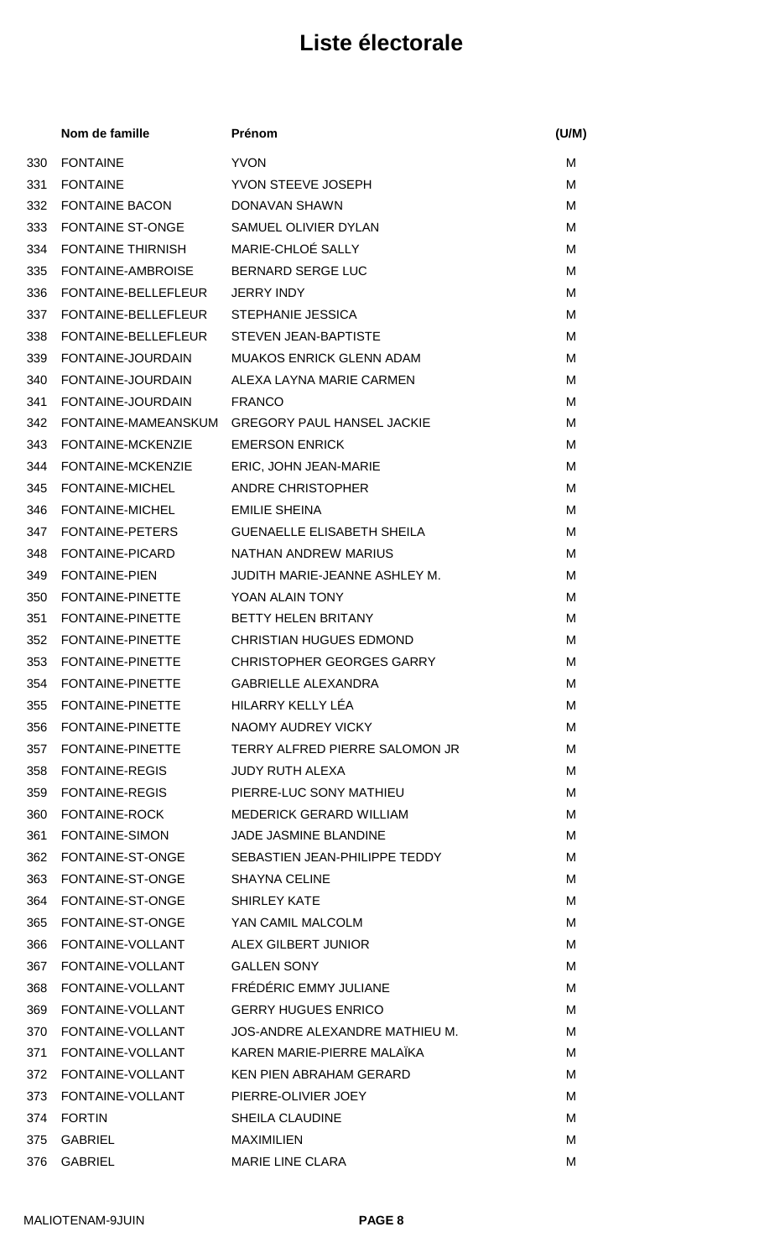|     | Nom de famille                             | Prénom                                             | (U/M) |
|-----|--------------------------------------------|----------------------------------------------------|-------|
| 330 | <b>FONTAINE</b>                            | <b>YVON</b>                                        | М     |
| 331 | <b>FONTAINE</b>                            | YVON STEEVE JOSEPH                                 | M     |
| 332 | <b>FONTAINE BACON</b>                      | DONAVAN SHAWN                                      | M     |
| 333 | <b>FONTAINE ST-ONGE</b>                    | SAMUEL OLIVIER DYLAN                               | M     |
| 334 | <b>FONTAINE THIRNISH</b>                   | MARIE-CHLOÉ SALLY                                  | M     |
| 335 | FONTAINE-AMBROISE                          | <b>BERNARD SERGE LUC</b>                           | м     |
| 336 | FONTAINE-BELLEFLEUR                        | <b>JERRY INDY</b>                                  | M     |
| 337 | FONTAINE-BELLEFLEUR                        | <b>STEPHANIE JESSICA</b>                           | M     |
| 338 | FONTAINE-BELLEFLEUR                        | <b>STEVEN JEAN-BAPTISTE</b>                        | M     |
| 339 | FONTAINE-JOURDAIN                          | <b>MUAKOS ENRICK GLENN ADAM</b>                    | M     |
| 340 | FONTAINE-JOURDAIN                          | ALEXA LAYNA MARIE CARMEN                           | м     |
| 341 | FONTAINE-JOURDAIN                          | <b>FRANCO</b>                                      | M     |
| 342 | FONTAINE-MAMEANSKUM                        | <b>GREGORY PAUL HANSEL JACKIE</b>                  | M     |
| 343 | FONTAINE-MCKENZIE                          | <b>EMERSON ENRICK</b>                              | M     |
| 344 | FONTAINE-MCKENZIE                          | ERIC, JOHN JEAN-MARIE                              | M     |
| 345 | FONTAINE-MICHEL                            | <b>ANDRE CHRISTOPHER</b>                           | м     |
| 346 | FONTAINE-MICHEL                            | <b>EMILIE SHEINA</b>                               | M     |
| 347 | <b>FONTAINE-PETERS</b>                     | <b>GUENAELLE ELISABETH SHEILA</b>                  | M     |
| 348 | FONTAINE-PICARD                            | NATHAN ANDREW MARIUS                               | M     |
| 349 | <b>FONTAINE-PIEN</b>                       | JUDITH MARIE-JEANNE ASHLEY M.                      | M     |
| 350 | FONTAINE-PINETTE                           | YOAN ALAIN TONY                                    | м     |
| 351 | FONTAINE-PINETTE                           | <b>BETTY HELEN BRITANY</b>                         | M     |
| 352 | FONTAINE-PINETTE                           | <b>CHRISTIAN HUGUES EDMOND</b>                     | м     |
| 353 | <b>FONTAINE-PINETTE</b>                    | <b>CHRISTOPHER GEORGES GARRY</b>                   | м     |
| 354 | FONTAINE-PINETTE                           | <b>GABRIELLE ALEXANDRA</b>                         | м     |
|     | 355 FONTAINE-PINETTE HILARRY KELLY LÉA     |                                                    | M     |
|     | 356 FONTAINE-PINETTE                       | NAOMY AUDREY VICKY                                 | M     |
|     | 357 FONTAINE-PINETTE                       | TERRY ALFRED PIERRE SALOMON JR                     | M     |
|     | 358 FONTAINE-REGIS                         | <b>JUDY RUTH ALEXA</b>                             | M     |
| 359 | <b>FONTAINE-REGIS</b>                      | PIERRE-LUC SONY MATHIEU                            | M     |
| 360 | FONTAINE-ROCK                              | <b>MEDERICK GERARD WILLIAM</b>                     | M     |
|     | 361 FONTAINE-SIMON                         | JADE JASMINE BLANDINE                              | M     |
|     |                                            | 362 FONTAINE-ST-ONGE SEBASTIEN JEAN-PHILIPPE TEDDY | M     |
|     | 363 FONTAINE-ST-ONGE SHAYNA CELINE         |                                                    | м     |
|     | 364 FONTAINE-ST-ONGE SHIRLEY KATE          |                                                    | M     |
|     | 365 FONTAINE-ST-ONGE YAN CAMIL MALCOLM     |                                                    | м     |
| 366 | FONTAINE-VOLLANT ALEX GILBERT JUNIOR       |                                                    | M     |
|     | 367 FONTAINE-VOLLANT                       | <b>GALLEN SONY</b>                                 | м     |
|     | 368 FONTAINE-VOLLANT FRÉDÉRIC EMMY JULIANE |                                                    | M     |
|     | 369 FONTAINE-VOLLANT GERRY HUGUES ENRICO   |                                                    | M     |
|     | 370 FONTAINE-VOLLANT                       | JOS-ANDRE ALEXANDRE MATHIEU M.                     | M     |
|     |                                            | 371 FONTAINE-VOLLANT KAREN MARIE-PIERRE MALAÏKA    | M     |
|     | 372 FONTAINE-VOLLANT                       | KEN PIEN ABRAHAM GERARD                            | M     |
|     | 373 FONTAINE-VOLLANT PIERRE-OLIVIER JOEY   |                                                    | M     |
|     | 374 FORTIN                                 | <b>SHEILA CLAUDINE</b>                             | м     |
| 375 | <b>GABRIEL</b>                             | <b>MAXIMILIEN</b>                                  | M     |
|     | 376 GABRIEL                                | MARIE LINE CLARA                                   | M     |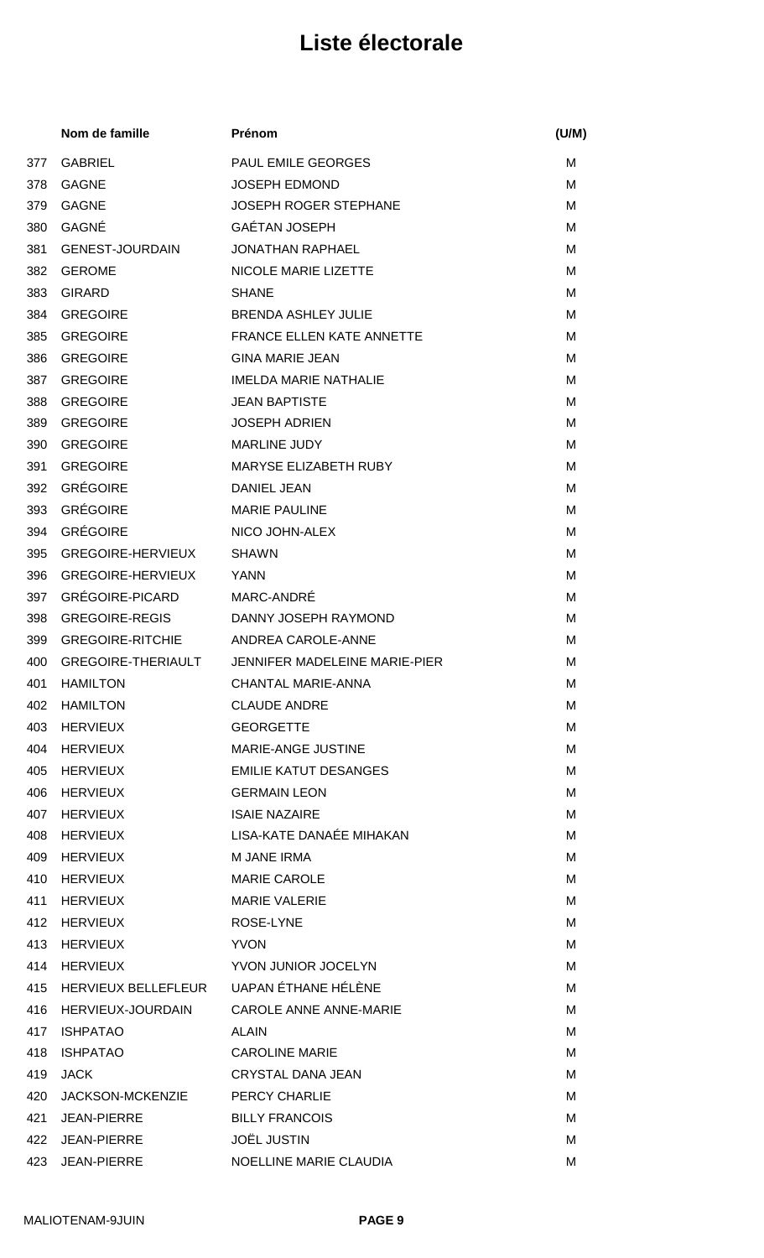|     | Nom de famille                          | Prénom                                           | (U/M) |
|-----|-----------------------------------------|--------------------------------------------------|-------|
| 377 | <b>GABRIEL</b>                          | <b>PAUL EMILE GEORGES</b>                        | M     |
| 378 | <b>GAGNE</b>                            | <b>JOSEPH EDMOND</b>                             | M     |
| 379 | <b>GAGNE</b>                            | <b>JOSEPH ROGER STEPHANE</b>                     | M     |
| 380 | GAGNÉ                                   | <b>GAÉTAN JOSEPH</b>                             | м     |
| 381 | <b>GENEST-JOURDAIN</b>                  | <b>JONATHAN RAPHAEL</b>                          | M     |
| 382 | <b>GEROME</b>                           | NICOLE MARIE LIZETTE                             | м     |
| 383 | <b>GIRARD</b>                           | <b>SHANE</b>                                     | м     |
| 384 | <b>GREGOIRE</b>                         | <b>BRENDA ASHLEY JULIE</b>                       | м     |
| 385 | <b>GREGOIRE</b>                         | <b>FRANCE ELLEN KATE ANNETTE</b>                 | M     |
| 386 | <b>GREGOIRE</b>                         | <b>GINA MARIE JEAN</b>                           | M     |
| 387 | <b>GREGOIRE</b>                         | <b>IMELDA MARIE NATHALIE</b>                     | M     |
| 388 | <b>GREGOIRE</b>                         | <b>JEAN BAPTISTE</b>                             | м     |
| 389 | <b>GREGOIRE</b>                         | <b>JOSEPH ADRIEN</b>                             | м     |
| 390 | <b>GREGOIRE</b>                         | <b>MARLINE JUDY</b>                              | м     |
| 391 | <b>GREGOIRE</b>                         | MARYSE ELIZABETH RUBY                            | м     |
| 392 | <b>GRÉGOIRE</b>                         | <b>DANIEL JEAN</b>                               | м     |
| 393 | <b>GRÉGOIRE</b>                         | <b>MARIE PAULINE</b>                             | м     |
| 394 | <b>GRÉGOIRE</b>                         | NICO JOHN-ALEX                                   | м     |
| 395 | <b>GREGOIRE-HERVIEUX</b>                | <b>SHAWN</b>                                     | M     |
| 396 | <b>GREGOIRE-HERVIEUX</b>                | <b>YANN</b>                                      | M     |
| 397 | GRÉGOIRE-PICARD                         | MARC-ANDRE                                       | м     |
| 398 | <b>GREGOIRE-REGIS</b>                   | DANNY JOSEPH RAYMOND                             | M     |
| 399 | <b>GREGOIRE-RITCHIE</b>                 | ANDREA CAROLE-ANNE                               | м     |
| 400 |                                         | GREGOIRE-THERIAULT JENNIFER MADELEINE MARIE-PIER | М     |
|     | 401 HAMILTON                            | CHANTAL MARIE-ANNA                               | М     |
| 402 | <b>HAMILTON</b>                         | <b>CLAUDE ANDRE</b>                              | м     |
| 403 | HERVIEUX                                | <b>GEORGETTE</b>                                 | м     |
| 404 | <b>HERVIEUX</b>                         | MARIE-ANGE JUSTINE                               | м     |
| 405 | HERVIEUX                                | <b>EMILIE KATUT DESANGES</b>                     | м     |
| 406 | <b>HERVIEUX</b>                         | <b>GERMAIN LEON</b>                              | M     |
| 407 | HERVIEUX                                | <b>ISAIE NAZAIRE</b>                             | м     |
| 408 | HERVIEUX                                | LISA-KATE DANAÉE MIHAKAN                         | м     |
| 409 | HERVIEUX                                | <b>M JANE IRMA</b>                               | м     |
| 410 | HERVIEUX                                | <b>MARIE CAROLE</b>                              | м     |
| 411 | <b>HERVIEUX</b>                         | <b>MARIE VALERIE</b>                             | м     |
| 412 | HERVIEUX                                | ROSE-LYNE                                        | м     |
| 413 | HERVIEUX                                | <b>YVON</b>                                      | м     |
| 414 | HERVIEUX                                | YVON JUNIOR JOCELYN                              | м     |
| 415 | HERVIEUX BELLEFLEUR UAPAN ÉTHANE HÉLÈNE |                                                  | м     |
| 416 | HERVIEUX-JOURDAIN                       | CAROLE ANNE ANNE-MARIE                           | м     |
| 417 | <b>ISHPATAO</b>                         | <b>ALAIN</b>                                     | M     |
| 418 | <b>ISHPATAO</b>                         | <b>CAROLINE MARIE</b>                            | м     |
| 419 | <b>JACK</b>                             | CRYSTAL DANA JEAN                                | M     |
| 420 | JACKSON-MCKENZIE                        | <b>PERCY CHARLIE</b>                             | м     |
| 421 | JEAN-PIERRE                             | <b>BILLY FRANCOIS</b>                            | м     |
| 422 | <b>JEAN-PIERRE</b>                      | <b>JOËL JUSTIN</b>                               | M     |
| 423 | <b>JEAN-PIERRE</b>                      | NOELLINE MARIE CLAUDIA                           | M     |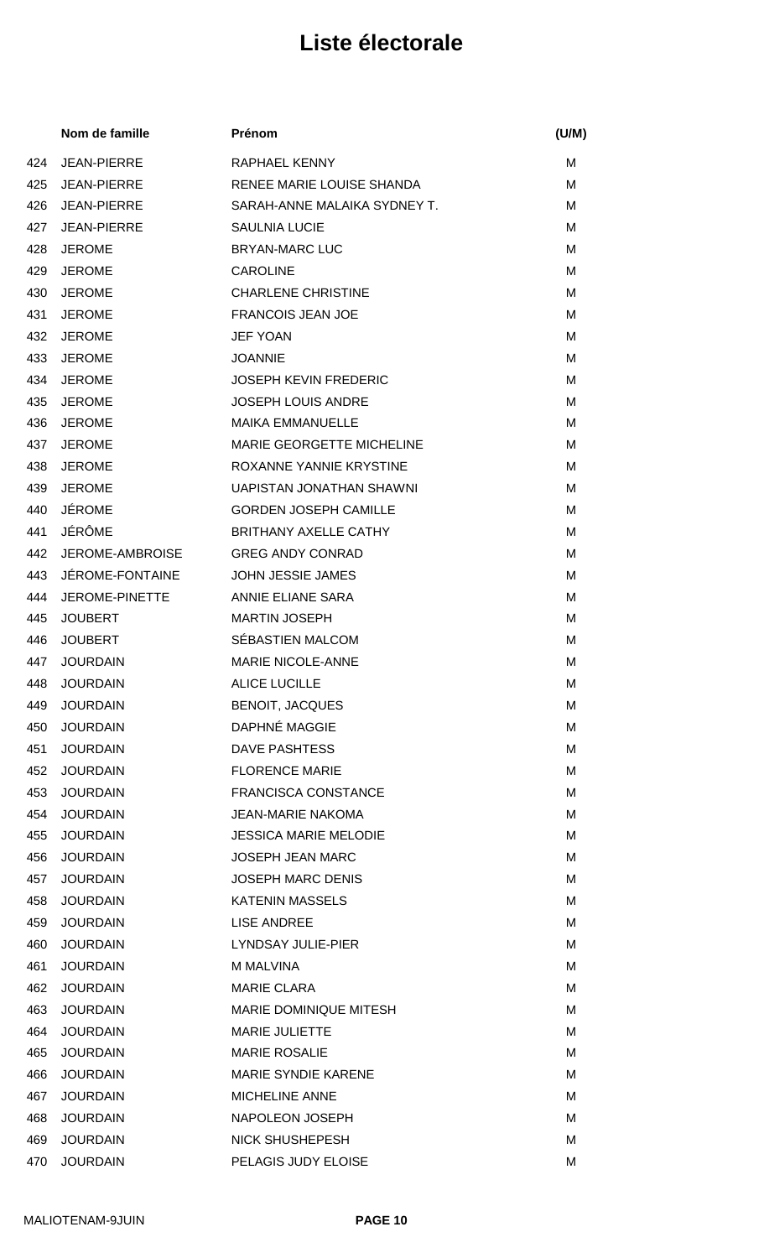|     | Nom de famille         | Prénom                           | (U/M) |
|-----|------------------------|----------------------------------|-------|
| 424 | <b>JEAN-PIERRE</b>     | <b>RAPHAEL KENNY</b>             | M     |
| 425 | <b>JEAN-PIERRE</b>     | RENEE MARIE LOUISE SHANDA        | M     |
| 426 | <b>JEAN-PIERRE</b>     | SARAH-ANNE MALAIKA SYDNEY T.     | M     |
| 427 | <b>JEAN-PIERRE</b>     | <b>SAULNIA LUCIE</b>             | м     |
| 428 | <b>JEROME</b>          | <b>BRYAN-MARC LUC</b>            | M     |
| 429 | <b>JEROME</b>          | <b>CAROLINE</b>                  | M     |
| 430 | <b>JEROME</b>          | <b>CHARLENE CHRISTINE</b>        | M     |
| 431 | <b>JEROME</b>          | <b>FRANCOIS JEAN JOE</b>         | M     |
| 432 | <b>JEROME</b>          | <b>JEF YOAN</b>                  | M     |
| 433 | <b>JEROME</b>          | <b>JOANNIE</b>                   | м     |
| 434 | <b>JEROME</b>          | <b>JOSEPH KEVIN FREDERIC</b>     | M     |
| 435 | <b>JEROME</b>          | <b>JOSEPH LOUIS ANDRE</b>        | M     |
| 436 | <b>JEROME</b>          | <b>MAIKA EMMANUELLE</b>          | M     |
| 437 | <b>JEROME</b>          | <b>MARIE GEORGETTE MICHELINE</b> | M     |
| 438 | <b>JEROME</b>          | ROXANNE YANNIE KRYSTINE          | м     |
| 439 | <b>JEROME</b>          | UAPISTAN JONATHAN SHAWNI         | M     |
| 440 | <b>JÉROME</b>          | <b>GORDEN JOSEPH CAMILLE</b>     | M     |
| 441 | JÉRÔME                 | <b>BRITHANY AXELLE CATHY</b>     | M     |
| 442 | <b>JEROME-AMBROISE</b> | <b>GREG ANDY CONRAD</b>          | м     |
| 443 | JÉROME-FONTAINE        | <b>JOHN JESSIE JAMES</b>         | M     |
| 444 | JEROME-PINETTE         | ANNIE ELIANE SARA                | M     |
| 445 | <b>JOUBERT</b>         | <b>MARTIN JOSEPH</b>             | M     |
| 446 | <b>JOUBERT</b>         | SÉBASTIEN MALCOM                 | М     |
| 447 | <b>JOURDAIN</b>        | MARIE NICOLE-ANNE                | M     |
|     | 448 JOURDAIN           | ALICE LUCILLE                    | М     |
| 449 | <b>JOURDAIN</b>        | <b>BENOIT, JACQUES</b>           | M     |
| 450 | <b>JOURDAIN</b>        | DAPHNÉ MAGGIE                    | M     |
| 451 | <b>JOURDAIN</b>        | <b>DAVE PASHTESS</b>             | M     |
| 452 | <b>JOURDAIN</b>        | <b>FLORENCE MARIE</b>            | M     |
| 453 | <b>JOURDAIN</b>        | <b>FRANCISCA CONSTANCE</b>       | M     |
| 454 | <b>JOURDAIN</b>        | <b>JEAN-MARIE NAKOMA</b>         | M     |
| 455 | <b>JOURDAIN</b>        | <b>JESSICA MARIE MELODIE</b>     | M     |
| 456 | <b>JOURDAIN</b>        | <b>JOSEPH JEAN MARC</b>          | M     |
| 457 | <b>JOURDAIN</b>        | <b>JOSEPH MARC DENIS</b>         | M     |
| 458 | <b>JOURDAIN</b>        | <b>KATENIN MASSELS</b>           | M     |
| 459 | <b>JOURDAIN</b>        | <b>LISE ANDREE</b>               | M     |
| 460 | <b>JOURDAIN</b>        | <b>LYNDSAY JULIE-PIER</b>        | M     |
| 461 | <b>JOURDAIN</b>        | <b>M MALVINA</b>                 | M     |
| 462 | <b>JOURDAIN</b>        | <b>MARIE CLARA</b>               | M     |
| 463 | <b>JOURDAIN</b>        | MARIE DOMINIQUE MITESH           | M     |
| 464 | <b>JOURDAIN</b>        | <b>MARIE JULIETTE</b>            | M     |
| 465 | <b>JOURDAIN</b>        | <b>MARIE ROSALIE</b>             | M     |
| 466 | <b>JOURDAIN</b>        | <b>MARIE SYNDIE KARENE</b>       | М     |
| 467 | <b>JOURDAIN</b>        | <b>MICHELINE ANNE</b>            | M     |
| 468 | <b>JOURDAIN</b>        | NAPOLEON JOSEPH                  | M     |
| 469 | <b>JOURDAIN</b>        | <b>NICK SHUSHEPESH</b>           | M     |
| 470 | <b>JOURDAIN</b>        | PELAGIS JUDY ELOISE              | M     |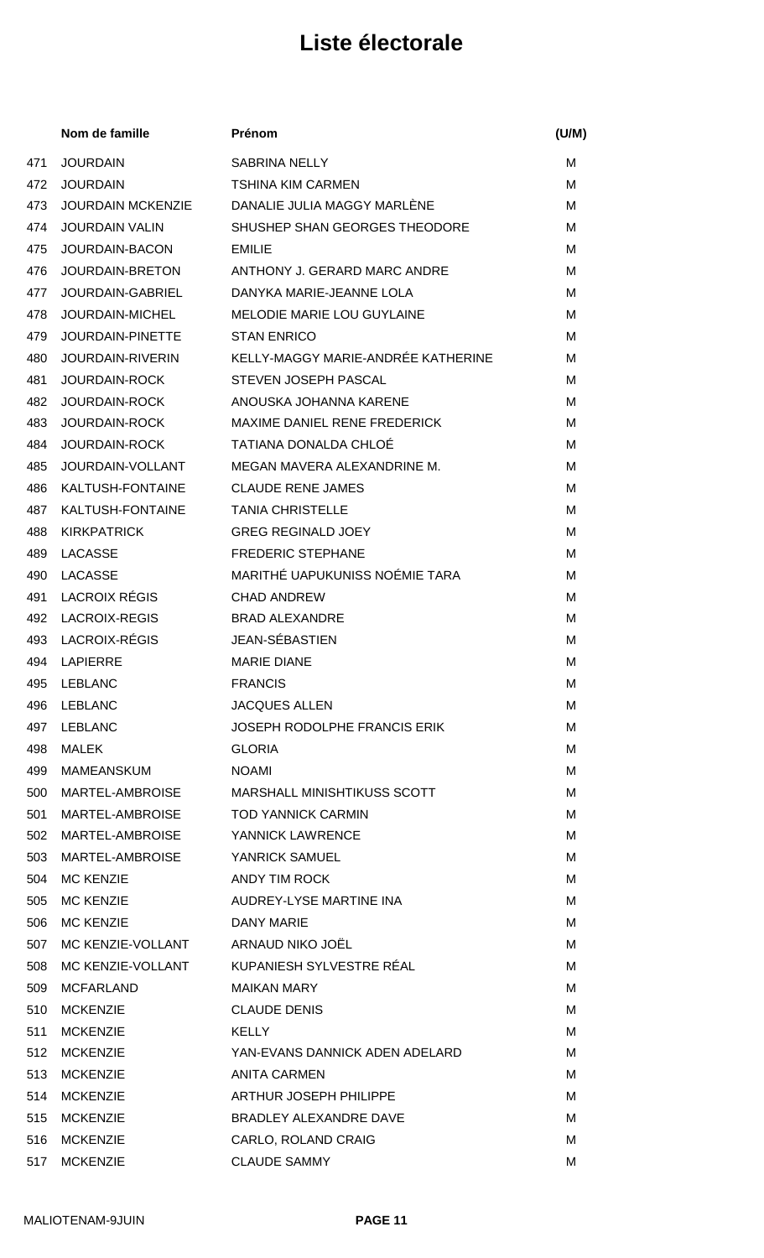|     | Nom de famille           | Prénom                                     | (U/M) |
|-----|--------------------------|--------------------------------------------|-------|
| 471 | <b>JOURDAIN</b>          | <b>SABRINA NELLY</b>                       | м     |
| 472 | <b>JOURDAIN</b>          | <b>TSHINA KIM CARMEN</b>                   | M     |
| 473 | <b>JOURDAIN MCKENZIE</b> | DANALIE JULIA MAGGY MARLÈNE                | М     |
| 474 | <b>JOURDAIN VALIN</b>    | SHUSHEP SHAN GEORGES THEODORE              | M     |
| 475 | JOURDAIN-BACON           | <b>EMILIE</b>                              | M     |
| 476 | JOURDAIN-BRETON          | ANTHONY J. GERARD MARC ANDRE               | M     |
| 477 | <b>JOURDAIN-GABRIEL</b>  | DANYKA MARIE-JEANNE LOLA                   | М     |
| 478 | JOURDAIN-MICHEL          | <b>MELODIE MARIE LOU GUYLAINE</b>          | М     |
| 479 | <b>JOURDAIN-PINETTE</b>  | <b>STAN ENRICO</b>                         | м     |
| 480 | <b>JOURDAIN-RIVERIN</b>  | KELLY-MAGGY MARIE-ANDRÉE KATHERINE         | М     |
| 481 | <b>JOURDAIN-ROCK</b>     | STEVEN JOSEPH PASCAL                       | м     |
| 482 | JOURDAIN-ROCK            | ANOUSKA JOHANNA KARENE                     | м     |
| 483 | <b>JOURDAIN-ROCK</b>     | MAXIME DANIEL RENE FREDERICK               | M     |
| 484 | JOURDAIN-ROCK            | <b>TATIANA DONALDA CHLOÉ</b>               | м     |
| 485 | JOURDAIN-VOLLANT         | MEGAN MAVERA ALEXANDRINE M.                | M     |
| 486 | KALTUSH-FONTAINE         | <b>CLAUDE RENE JAMES</b>                   | М     |
| 487 | KALTUSH-FONTAINE         | <b>TANIA CHRISTELLE</b>                    | М     |
| 488 | <b>KIRKPATRICK</b>       | <b>GREG REGINALD JOEY</b>                  | М     |
| 489 | <b>LACASSE</b>           | <b>FREDERIC STEPHANE</b>                   | М     |
| 490 | <b>LACASSE</b>           | MARITHÉ UAPUKUNISS NOÉMIE TARA             | M     |
| 491 | <b>LACROIX RÉGIS</b>     | <b>CHAD ANDREW</b>                         | м     |
| 492 | <b>LACROIX-REGIS</b>     | <b>BRAD ALEXANDRE</b>                      | M     |
| 493 | LACROIX-RÉGIS            | JEAN-SÉBASTIEN                             | м     |
| 494 | <b>LAPIERRE</b>          | <b>MARIE DIANE</b>                         | М     |
|     | 495 LEBLANC              | <b>FRANCIS</b>                             | M     |
| 496 | LEBLANC                  | <b>JACQUES ALLEN</b>                       | м     |
| 497 | <b>LEBLANC</b>           | <b>JOSEPH RODOLPHE FRANCIS ERIK</b>        | м     |
| 498 | <b>MALEK</b>             | <b>GLORIA</b>                              | м     |
| 499 | <b>MAMEANSKUM</b>        | <b>NOAMI</b>                               | м     |
| 500 | MARTEL-AMBROISE          | <b>MARSHALL MINISHTIKUSS SCOTT</b>         | м     |
| 501 | MARTEL-AMBROISE          | <b>TOD YANNICK CARMIN</b>                  | м     |
| 502 | MARTEL-AMBROISE          | YANNICK LAWRENCE                           | M     |
| 503 | MARTEL-AMBROISE          | YANRICK SAMUEL                             | м     |
| 504 | <b>MC KENZIE</b>         | ANDY TIM ROCK                              | M     |
| 505 | <b>MC KENZIE</b>         | AUDREY-LYSE MARTINE INA                    | м     |
| 506 | <b>MC KENZIE</b>         | DANY MARIE                                 | м     |
| 507 | MC KENZIE-VOLLANT        | ARNAUD NIKO JOËL                           | м     |
| 508 |                          | MC KENZIE-VOLLANT KUPANIESH SYLVESTRE RÉAL | м     |
| 509 | <b>MCFARLAND</b>         | <b>MAIKAN MARY</b>                         | м     |
| 510 | <b>MCKENZIE</b>          | <b>CLAUDE DENIS</b>                        | м     |
| 511 | <b>MCKENZIE</b>          | <b>KELLY</b>                               | м     |
| 512 | <b>MCKENZIE</b>          | YAN-EVANS DANNICK ADEN ADELARD             | м     |
| 513 | <b>MCKENZIE</b>          | <b>ANITA CARMEN</b>                        | M     |
| 514 | <b>MCKENZIE</b>          | ARTHUR JOSEPH PHILIPPE                     | м     |
| 515 | <b>MCKENZIE</b>          | BRADLEY ALEXANDRE DAVE                     | M     |
| 516 | <b>MCKENZIE</b>          | CARLO, ROLAND CRAIG                        | м     |
| 517 | <b>MCKENZIE</b>          | <b>CLAUDE SAMMY</b>                        | M     |
|     |                          |                                            |       |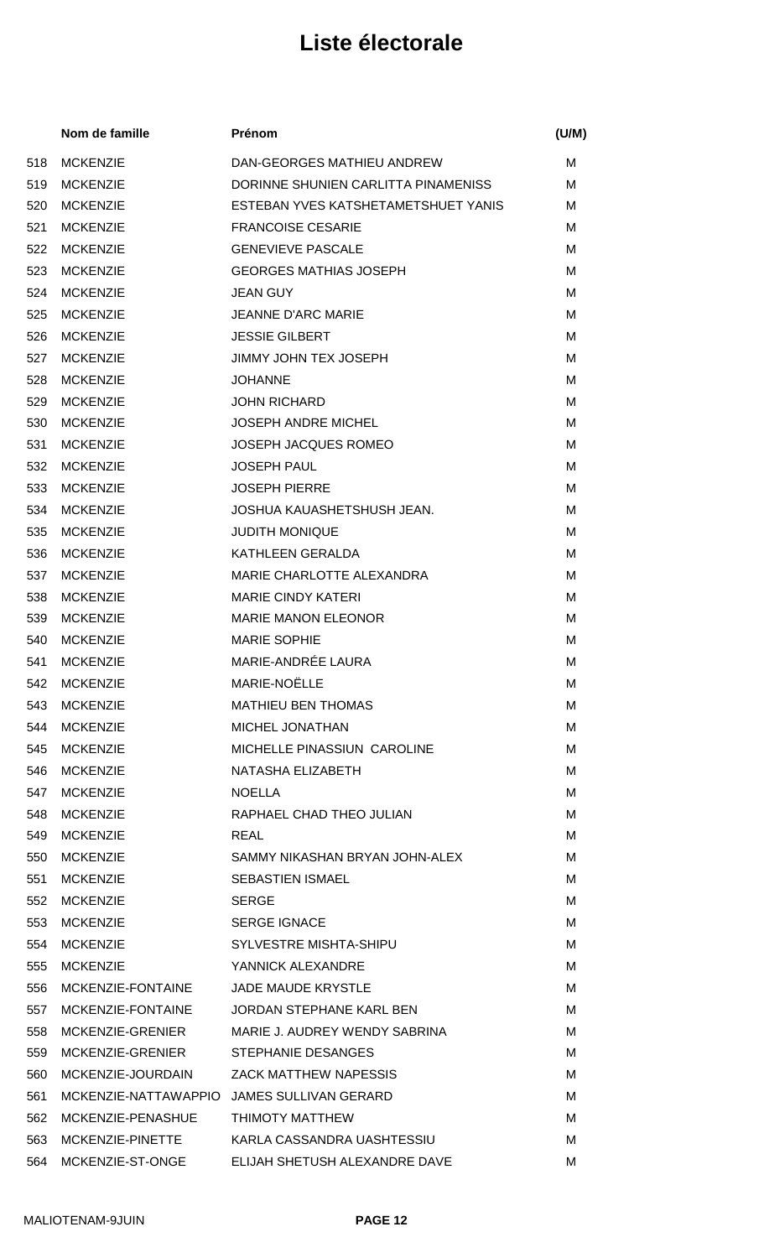| Nom de famille    | Prénom                              | (U/M)                                      |
|-------------------|-------------------------------------|--------------------------------------------|
| <b>MCKENZIE</b>   | DAN-GEORGES MATHIEU ANDREW          | м                                          |
| <b>MCKENZIE</b>   | DORINNE SHUNIEN CARLITTA PINAMENISS | м                                          |
| <b>MCKENZIE</b>   | ESTEBAN YVES KATSHETAMETSHUET YANIS | м                                          |
| <b>MCKENZIE</b>   | <b>FRANCOISE CESARIE</b>            | M                                          |
| <b>MCKENZIE</b>   | <b>GENEVIEVE PASCALE</b>            | M                                          |
| <b>MCKENZIE</b>   | <b>GEORGES MATHIAS JOSEPH</b>       | м                                          |
| <b>MCKENZIE</b>   | <b>JEAN GUY</b>                     | м                                          |
| <b>MCKENZIE</b>   | <b>JEANNE D'ARC MARIE</b>           | м                                          |
| <b>MCKENZIE</b>   | <b>JESSIE GILBERT</b>               | м                                          |
| <b>MCKENZIE</b>   | <b>JIMMY JOHN TEX JOSEPH</b>        | м                                          |
| <b>MCKENZIE</b>   | <b>JOHANNE</b>                      | M                                          |
| <b>MCKENZIE</b>   | <b>JOHN RICHARD</b>                 | м                                          |
| <b>MCKENZIE</b>   | <b>JOSEPH ANDRE MICHEL</b>          | M                                          |
| <b>MCKENZIE</b>   | <b>JOSEPH JACQUES ROMEO</b>         | м                                          |
| <b>MCKENZIE</b>   | <b>JOSEPH PAUL</b>                  | M                                          |
| <b>MCKENZIE</b>   | <b>JOSEPH PIERRE</b>                | M                                          |
| <b>MCKENZIE</b>   | JOSHUA KAUASHETSHUSH JEAN.          | м                                          |
| <b>MCKENZIE</b>   | <b>JUDITH MONIQUE</b>               | м                                          |
| <b>MCKENZIE</b>   | KATHLEEN GERALDA                    | м                                          |
| <b>MCKENZIE</b>   | MARIE CHARLOTTE ALEXANDRA           | M                                          |
| <b>MCKENZIE</b>   | <b>MARIE CINDY KATERI</b>           | м                                          |
| <b>MCKENZIE</b>   | <b>MARIE MANON ELEONOR</b>          | M                                          |
| <b>MCKENZIE</b>   | <b>MARIE SOPHIE</b>                 | м                                          |
| <b>MCKENZIE</b>   | MARIE-ANDRÉE LAURA                  | M                                          |
|                   | MARIE-NOËLLE                        | M                                          |
| <b>MCKENZIE</b>   | <b>MATHIEU BEN THOMAS</b>           | м                                          |
| <b>MCKENZIE</b>   | <b>MICHEL JONATHAN</b>              | м                                          |
| <b>MCKENZIE</b>   | MICHELLE PINASSIUN CAROLINE         | м                                          |
| <b>MCKENZIE</b>   | NATASHA ELIZABETH                   | м                                          |
| <b>MCKENZIE</b>   | <b>NOELLA</b>                       | м                                          |
| <b>MCKENZIE</b>   | RAPHAEL CHAD THEO JULIAN            | м                                          |
| <b>MCKENZIE</b>   | <b>REAL</b>                         | м                                          |
| <b>MCKENZIE</b>   | SAMMY NIKASHAN BRYAN JOHN-ALEX      | м                                          |
| <b>MCKENZIE</b>   | <b>SEBASTIEN ISMAEL</b>             | м                                          |
| <b>MCKENZIE</b>   | <b>SERGE</b>                        | м                                          |
| <b>MCKENZIE</b>   | <b>SERGE IGNACE</b>                 | м                                          |
| <b>MCKENZIE</b>   | SYLVESTRE MISHTA-SHIPU              | м                                          |
| <b>MCKENZIE</b>   | YANNICK ALEXANDRE                   | M                                          |
| MCKENZIE-FONTAINE | <b>JADE MAUDE KRYSTLE</b>           | M                                          |
| MCKENZIE-FONTAINE | JORDAN STEPHANE KARL BEN            | м                                          |
| MCKENZIE-GRENIER  | MARIE J. AUDREY WENDY SABRINA       | м                                          |
| MCKENZIE-GRENIER  | STEPHANIE DESANGES                  | м                                          |
| MCKENZIE-JOURDAIN | <b>ZACK MATTHEW NAPESSIS</b>        | м                                          |
|                   |                                     | м                                          |
| MCKENZIE-PENASHUE | THIMOTY MATTHEW                     | M                                          |
| MCKENZIE-PINETTE  | KARLA CASSANDRA UASHTESSIU          | м                                          |
| MCKENZIE-ST-ONGE  | ELIJAH SHETUSH ALEXANDRE DAVE       | м                                          |
|                   | 542 MCKENZIE                        | MCKENZIE-NATTAWAPPIO JAMES SULLIVAN GERARD |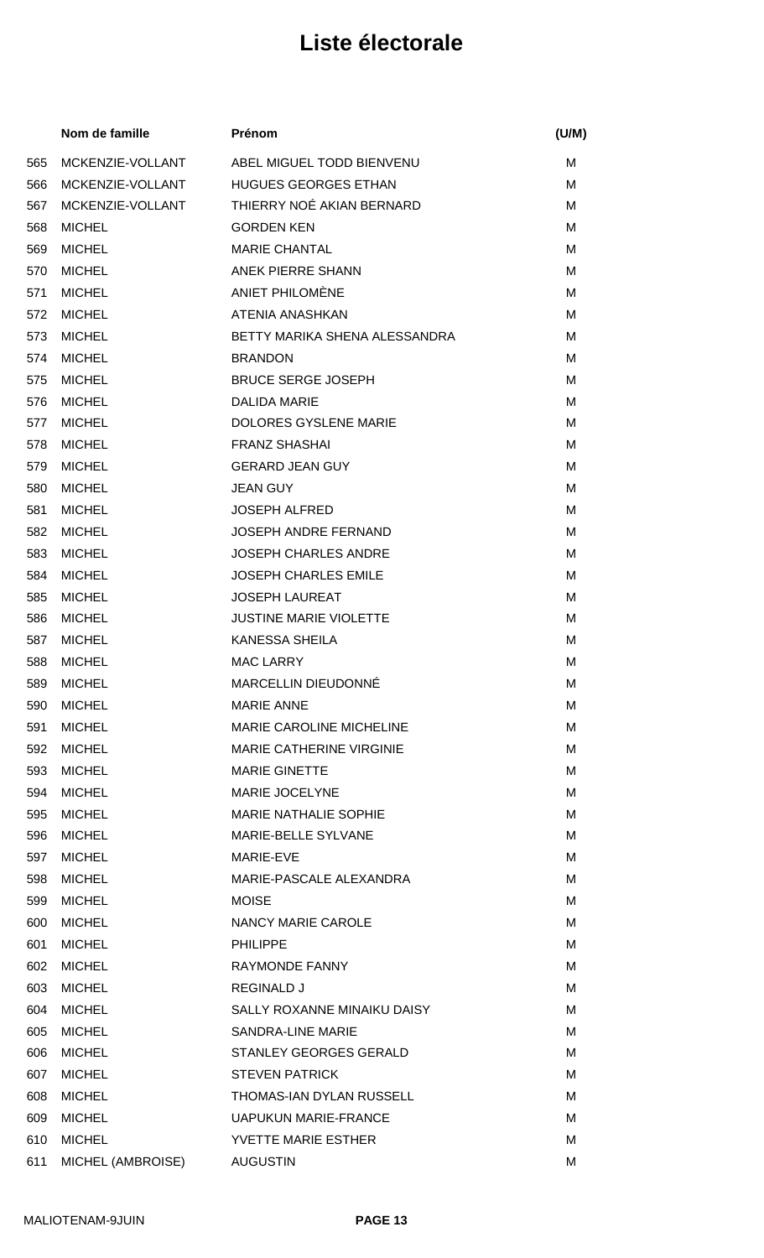|     | Nom de famille    | Prénom                          | (U/M) |
|-----|-------------------|---------------------------------|-------|
| 565 | MCKENZIE-VOLLANT  | ABEL MIGUEL TODD BIENVENU       | М     |
| 566 | MCKENZIE-VOLLANT  | <b>HUGUES GEORGES ETHAN</b>     | М     |
| 567 | MCKENZIE-VOLLANT  | THIERRY NOÉ AKIAN BERNARD       | М     |
| 568 | <b>MICHEL</b>     | <b>GORDEN KEN</b>               | м     |
| 569 | <b>MICHEL</b>     | <b>MARIE CHANTAL</b>            | M     |
| 570 | <b>MICHEL</b>     | <b>ANEK PIERRE SHANN</b>        | м     |
| 571 | <b>MICHEL</b>     | ANIET PHILOMÈNE                 | M     |
| 572 | <b>MICHEL</b>     | ATENIA ANASHKAN                 | м     |
| 573 | <b>MICHEL</b>     | BETTY MARIKA SHENA ALESSANDRA   | M     |
| 574 | <b>MICHEL</b>     | <b>BRANDON</b>                  | М     |
| 575 | <b>MICHEL</b>     | <b>BRUCE SERGE JOSEPH</b>       | М     |
| 576 | <b>MICHEL</b>     | <b>DALIDA MARIE</b>             | M     |
| 577 | <b>MICHEL</b>     | <b>DOLORES GYSLENE MARIE</b>    | М     |
| 578 | <b>MICHEL</b>     | <b>FRANZ SHASHAI</b>            | м     |
| 579 | <b>MICHEL</b>     | <b>GERARD JEAN GUY</b>          | М     |
| 580 | <b>MICHEL</b>     | <b>JEAN GUY</b>                 | м     |
| 581 | <b>MICHEL</b>     | <b>JOSEPH ALFRED</b>            | М     |
| 582 | <b>MICHEL</b>     | <b>JOSEPH ANDRE FERNAND</b>     | М     |
| 583 | <b>MICHEL</b>     | <b>JOSEPH CHARLES ANDRE</b>     | M     |
| 584 | <b>MICHEL</b>     | <b>JOSEPH CHARLES EMILE</b>     | M     |
| 585 | <b>MICHEL</b>     | <b>JOSEPH LAUREAT</b>           | м     |
| 586 | <b>MICHEL</b>     | <b>JUSTINE MARIE VIOLETTE</b>   | М     |
| 587 | <b>MICHEL</b>     | <b>KANESSA SHEILA</b>           | М     |
| 588 | <b>MICHEL</b>     | <b>MAC LARRY</b>                | M     |
| 589 | <b>MICHEL</b>     | MARCELLIN DIEUDONNÉ             | м     |
| 590 | <b>MICHEL</b>     | <b>MARIE ANNE</b>               | м     |
| 591 | <b>MICHEL</b>     | <b>MARIE CAROLINE MICHELINE</b> | м     |
| 592 | <b>MICHEL</b>     | <b>MARIE CATHERINE VIRGINIE</b> | M     |
| 593 | <b>MICHEL</b>     | <b>MARIE GINETTE</b>            | M     |
| 594 | <b>MICHEL</b>     | MARIE JOCELYNE                  | M     |
| 595 | <b>MICHEL</b>     | <b>MARIE NATHALIE SOPHIE</b>    | м     |
| 596 | <b>MICHEL</b>     | MARIE-BELLE SYLVANE             | M     |
| 597 | <b>MICHEL</b>     | MARIE-EVE                       | M     |
| 598 | <b>MICHEL</b>     | MARIE-PASCALE ALEXANDRA         | M     |
| 599 | <b>MICHEL</b>     | <b>MOISE</b>                    | M     |
| 600 | <b>MICHEL</b>     | NANCY MARIE CAROLE              | м     |
| 601 | <b>MICHEL</b>     | <b>PHILIPPE</b>                 | M     |
| 602 | <b>MICHEL</b>     | RAYMONDE FANNY                  | м     |
| 603 | <b>MICHEL</b>     | <b>REGINALD J</b>               | M     |
| 604 | <b>MICHEL</b>     | SALLY ROXANNE MINAIKU DAISY     | м     |
| 605 | <b>MICHEL</b>     | <b>SANDRA-LINE MARIE</b>        | M     |
| 606 | <b>MICHEL</b>     | STANLEY GEORGES GERALD          | м     |
| 607 | <b>MICHEL</b>     | <b>STEVEN PATRICK</b>           | M     |
| 608 | <b>MICHEL</b>     | THOMAS-IAN DYLAN RUSSELL        | м     |
| 609 | <b>MICHEL</b>     | <b>UAPUKUN MARIE-FRANCE</b>     | м     |
| 610 | <b>MICHEL</b>     | YVETTE MARIE ESTHER             | M     |
| 611 | MICHEL (AMBROISE) | <b>AUGUSTIN</b>                 | M     |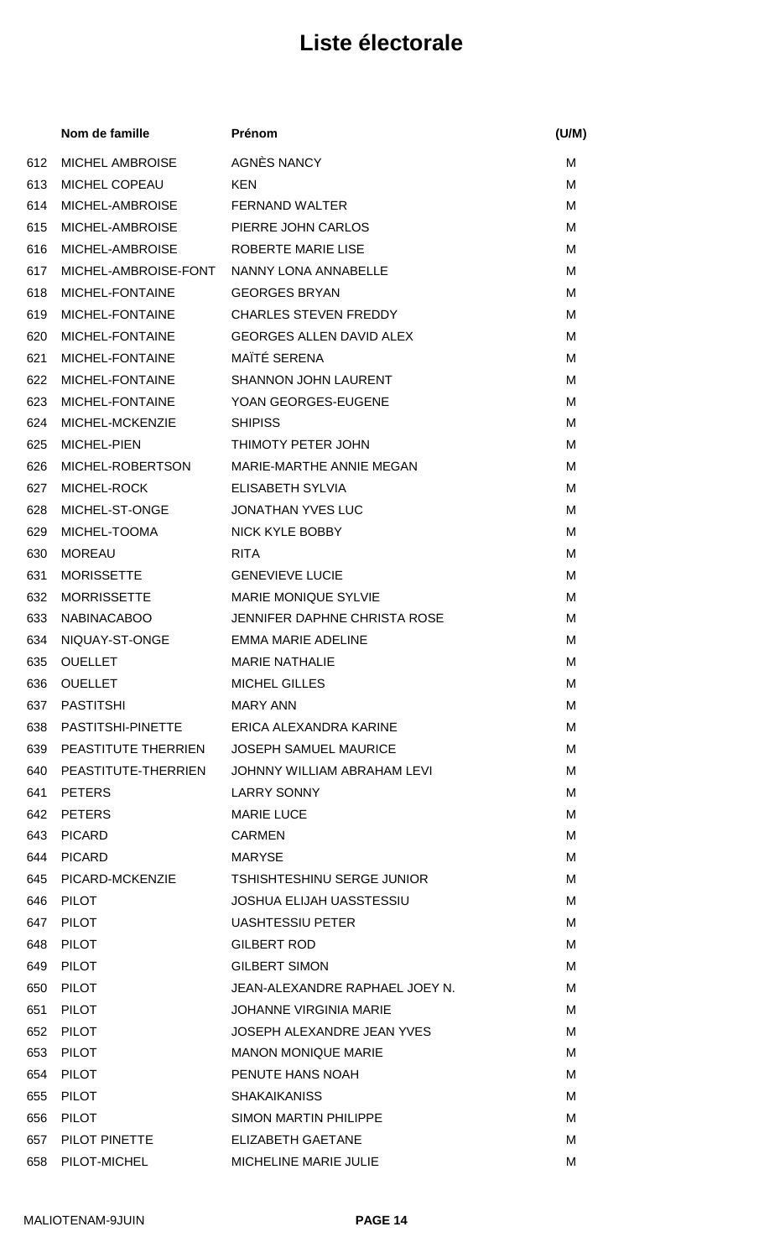|     | Nom de famille          | Prénom                                       | (U/M) |
|-----|-------------------------|----------------------------------------------|-------|
| 612 | <b>MICHEL AMBROISE</b>  | AGNÈS NANCY                                  | м     |
| 613 | <b>MICHEL COPEAU</b>    | <b>KEN</b>                                   | M     |
| 614 | MICHEL-AMBROISE         | <b>FERNAND WALTER</b>                        | м     |
| 615 | MICHEL-AMBROISE         | PIERRE JOHN CARLOS                           | м     |
| 616 | MICHEL-AMBROISE         | ROBERTE MARIE LISE                           | м     |
| 617 | MICHEL-AMBROISE-FONT    | NANNY LONA ANNABELLE                         | м     |
| 618 | MICHEL-FONTAINE         | <b>GEORGES BRYAN</b>                         | м     |
| 619 | MICHEL-FONTAINE         | <b>CHARLES STEVEN FREDDY</b>                 | м     |
| 620 | MICHEL-FONTAINE         | GEORGES ALLEN DAVID ALEX                     | м     |
| 621 | MICHEL-FONTAINE         | MAÏTÉ SERENA                                 | м     |
| 622 | MICHEL-FONTAINE         | <b>SHANNON JOHN LAURENT</b>                  | м     |
| 623 | MICHEL-FONTAINE         | YOAN GEORGES-EUGENE                          | м     |
| 624 | MICHEL-MCKENZIE         | <b>SHIPISS</b>                               | м     |
| 625 | <b>MICHEL-PIEN</b>      | THIMOTY PETER JOHN                           | м     |
| 626 | MICHEL-ROBERTSON        | MARIE-MARTHE ANNIE MEGAN                     | м     |
| 627 | MICHEL-ROCK             | ELISABETH SYLVIA                             | м     |
| 628 | MICHEL-ST-ONGE          | <b>JONATHAN YVES LUC</b>                     | м     |
| 629 | MICHEL-TOOMA            | NICK KYLE BOBBY                              | M     |
| 630 | <b>MOREAU</b>           | <b>RITA</b>                                  | м     |
| 631 | <b>MORISSETTE</b>       | <b>GENEVIEVE LUCIE</b>                       | M     |
| 632 | <b>MORRISSETTE</b>      | <b>MARIE MONIQUE SYLVIE</b>                  | м     |
| 633 | <b>NABINACABOO</b>      | <b>JENNIFER DAPHNE CHRISTA ROSE</b>          | M     |
| 634 | NIQUAY-ST-ONGE          | <b>EMMA MARIE ADELINE</b>                    | м     |
| 635 | <b>OUELLET</b>          | <b>MARIE NATHALIE</b>                        | M     |
| 636 | <b>OUELLET</b>          | <b>MICHEL GILLES</b>                         | м     |
| 637 | PASTITSHI               | MARY ANN                                     | м     |
|     |                         | 638 PASTITSHI-PINETTE ERICA ALEXANDRA KARINE | м     |
|     | 639 PEASTITUTE THERRIEN | <b>JOSEPH SAMUEL MAURICE</b>                 | M     |
|     | 640 PEASTITUTE-THERRIEN | JOHNNY WILLIAM ABRAHAM LEVI                  | м     |
| 641 | PETERS                  | <b>LARRY SONNY</b>                           | M     |
| 642 | <b>PETERS</b>           | <b>MARIE LUCE</b>                            | м     |
| 643 | PICARD                  | <b>CARMEN</b>                                | M     |
| 644 | PICARD                  | <b>MARYSE</b>                                | м     |
| 645 | PICARD-MCKENZIE         | TSHISHTESHINU SERGE JUNIOR                   | м     |
| 646 | <b>PILOT</b>            | <b>JOSHUA ELIJAH UASSTESSIU</b>              | м     |
| 647 | PILOT                   | <b>UASHTESSIU PETER</b>                      | м     |
| 648 | PILOT                   | <b>GILBERT ROD</b>                           | м     |
| 649 | PILOT                   | <b>GILBERT SIMON</b>                         | м     |
| 650 | <b>PILOT</b>            | JEAN-ALEXANDRE RAPHAEL JOEY N.               | M     |
| 651 | PILOT                   | <b>JOHANNE VIRGINIA MARIE</b>                | м     |
| 652 | PILOT                   | JOSEPH ALEXANDRE JEAN YVES                   | M     |
| 653 | <b>PILOT</b>            | <b>MANON MONIQUE MARIE</b>                   | м     |
| 654 | PILOT                   | PENUTE HANS NOAH                             | м     |
| 655 | <b>PILOT</b>            | <b>SHAKAIKANISS</b>                          | м     |
| 656 | <b>PILOT</b>            | <b>SIMON MARTIN PHILIPPE</b>                 | м     |
| 657 | PILOT PINETTE           | <b>ELIZABETH GAETANE</b>                     | M     |
|     | 658 PILOT-MICHEL        | MICHELINE MARIE JULIE                        | М     |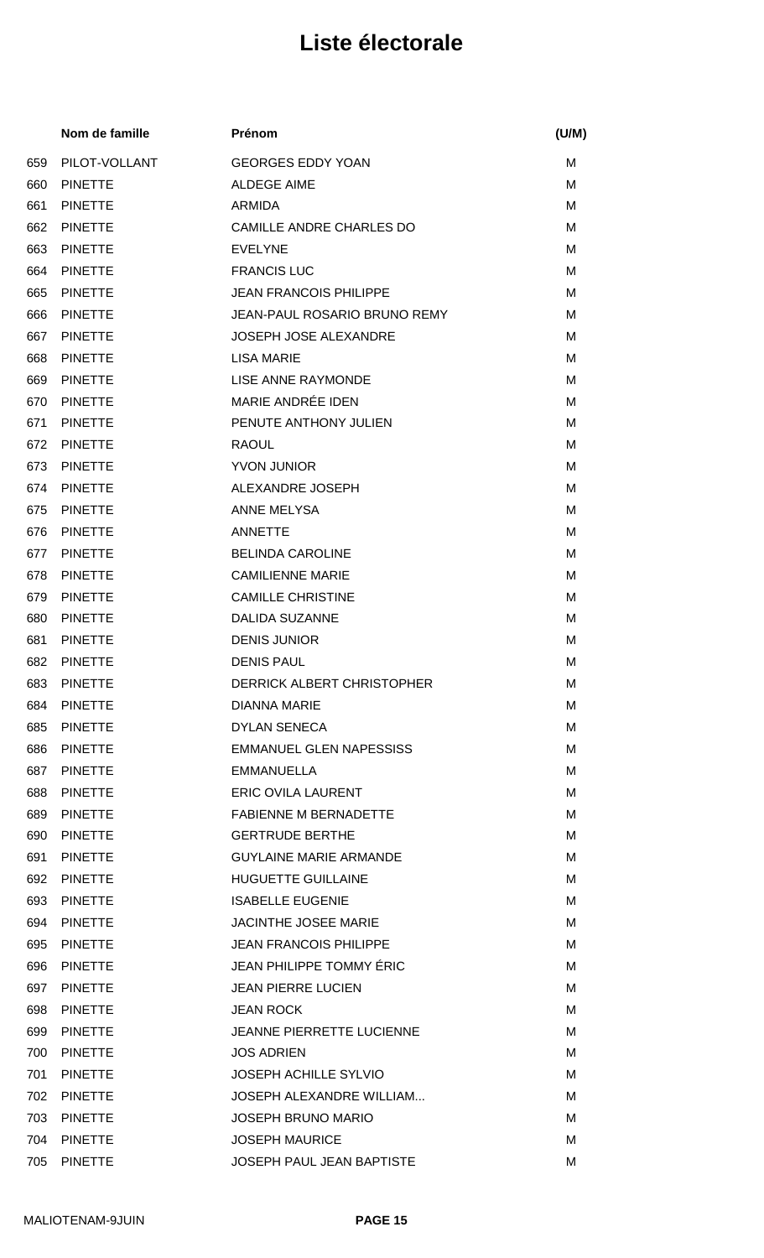|     | Nom de famille | Prénom                           | (U/M) |
|-----|----------------|----------------------------------|-------|
| 659 | PILOT-VOLLANT  | <b>GEORGES EDDY YOAN</b>         | М     |
| 660 | <b>PINETTE</b> | <b>ALDEGE AIME</b>               | M     |
| 661 | <b>PINETTE</b> | ARMIDA                           | M     |
| 662 | <b>PINETTE</b> | CAMILLE ANDRE CHARLES DO         | М     |
| 663 | <b>PINETTE</b> | <b>EVELYNE</b>                   | M     |
| 664 | <b>PINETTE</b> | <b>FRANCIS LUC</b>               | M     |
| 665 | <b>PINETTE</b> | <b>JEAN FRANCOIS PHILIPPE</b>    | м     |
| 666 | <b>PINETTE</b> | JEAN-PAUL ROSARIO BRUNO REMY     | M     |
| 667 | <b>PINETTE</b> | <b>JOSEPH JOSE ALEXANDRE</b>     | M     |
| 668 | <b>PINETTE</b> | <b>LISA MARIE</b>                | м     |
| 669 | <b>PINETTE</b> | LISE ANNE RAYMONDE               | M     |
| 670 | <b>PINETTE</b> | MARIE ANDRÉE IDEN                | M     |
| 671 | <b>PINETTE</b> | PENUTE ANTHONY JULIEN            | M     |
| 672 | <b>PINETTE</b> | <b>RAOUL</b>                     | м     |
| 673 | <b>PINETTE</b> | <b>YVON JUNIOR</b>               | м     |
| 674 | <b>PINETTE</b> | ALEXANDRE JOSEPH                 | м     |
| 675 | <b>PINETTE</b> | ANNE MELYSA                      | M     |
| 676 | <b>PINETTE</b> | <b>ANNETTE</b>                   | M     |
| 677 | <b>PINETTE</b> | <b>BELINDA CAROLINE</b>          | м     |
| 678 | <b>PINETTE</b> | <b>CAMILIENNE MARIE</b>          | M     |
| 679 | <b>PINETTE</b> | <b>CAMILLE CHRISTINE</b>         | M     |
| 680 | <b>PINETTE</b> | <b>DALIDA SUZANNE</b>            | M     |
| 681 | <b>PINETTE</b> | <b>DENIS JUNIOR</b>              | M     |
| 682 | <b>PINETTE</b> | <b>DENIS PAUL</b>                | М     |
| 683 | <b>PINETTE</b> | DERRICK ALBERT CHRISTOPHER       | М     |
| 684 | <b>PINETTE</b> | <b>DIANNA MARIE</b>              | м     |
| 685 | <b>PINETTE</b> | <b>DYLAN SENECA</b>              | м     |
| 686 | <b>PINETTE</b> | <b>EMMANUEL GLEN NAPESSISS</b>   | M     |
| 687 | <b>PINETTE</b> | EMMANUELLA                       | м     |
| 688 | <b>PINETTE</b> | <b>ERIC OVILA LAURENT</b>        | M     |
| 689 | <b>PINETTE</b> | <b>FABIENNE M BERNADETTE</b>     | М     |
| 690 | <b>PINETTE</b> | <b>GERTRUDE BERTHE</b>           | M     |
| 691 | <b>PINETTE</b> | <b>GUYLAINE MARIE ARMANDE</b>    | M     |
| 692 | <b>PINETTE</b> | <b>HUGUETTE GUILLAINE</b>        | M     |
| 693 | <b>PINETTE</b> | <b>ISABELLE EUGENIE</b>          | M     |
| 694 | <b>PINETTE</b> | <b>JACINTHE JOSEE MARIE</b>      | м     |
| 695 | <b>PINETTE</b> | <b>JEAN FRANCOIS PHILIPPE</b>    | м     |
| 696 | <b>PINETTE</b> | JEAN PHILIPPE TOMMY ÉRIC         | м     |
| 697 | <b>PINETTE</b> | <b>JEAN PIERRE LUCIEN</b>        | M     |
| 698 | <b>PINETTE</b> | <b>JEAN ROCK</b>                 | м     |
| 699 | <b>PINETTE</b> | <b>JEANNE PIERRETTE LUCIENNE</b> | M     |
| 700 | <b>PINETTE</b> | <b>JOS ADRIEN</b>                | М     |
| 701 | <b>PINETTE</b> | <b>JOSEPH ACHILLE SYLVIO</b>     | M     |
| 702 | <b>PINETTE</b> | <b>JOSEPH ALEXANDRE WILLIAM</b>  | М     |
| 703 | <b>PINETTE</b> | <b>JOSEPH BRUNO MARIO</b>        | M     |
| 704 | <b>PINETTE</b> | <b>JOSEPH MAURICE</b>            | M     |
| 705 | <b>PINETTE</b> | <b>JOSEPH PAUL JEAN BAPTISTE</b> | M     |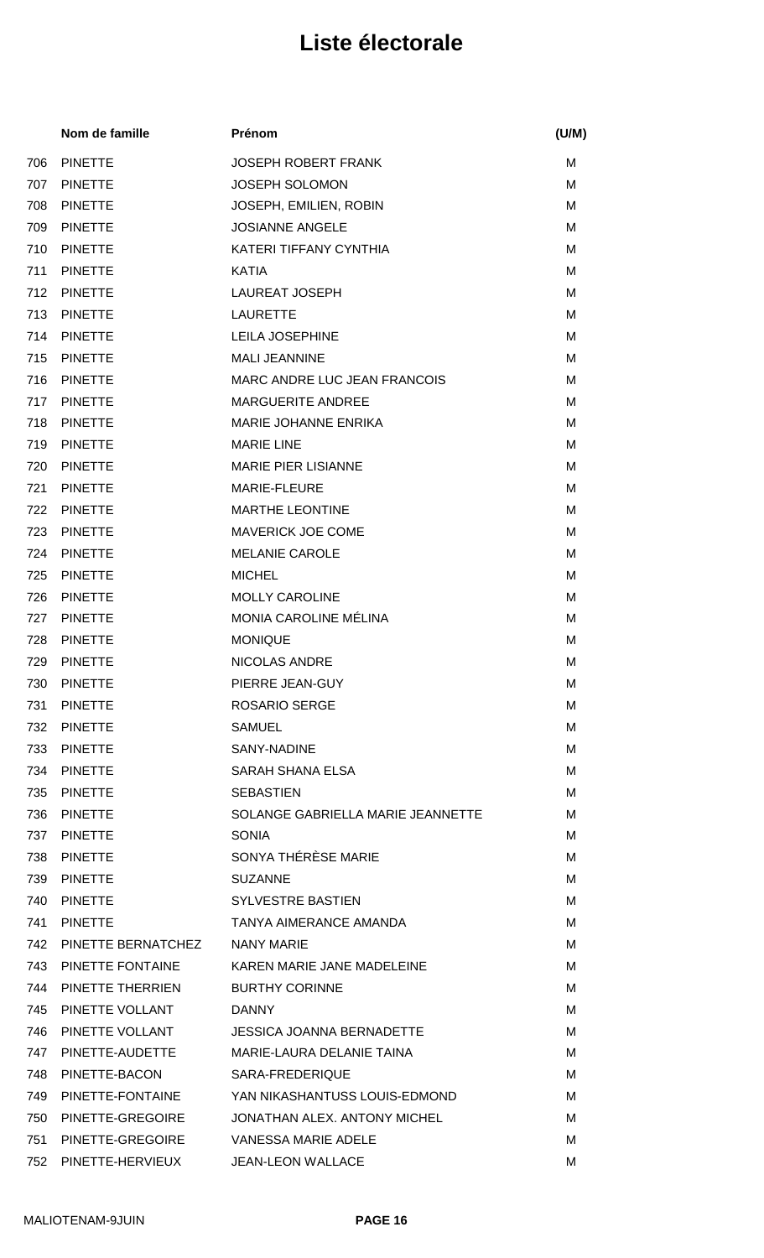|     | Nom de famille     | Prénom                            | (U/M) |
|-----|--------------------|-----------------------------------|-------|
| 706 | <b>PINETTE</b>     | <b>JOSEPH ROBERT FRANK</b>        | M     |
| 707 | <b>PINETTE</b>     | <b>JOSEPH SOLOMON</b>             | M     |
| 708 | <b>PINETTE</b>     | JOSEPH, EMILIEN, ROBIN            | M     |
| 709 | <b>PINETTE</b>     | <b>JOSIANNE ANGELE</b>            | м     |
| 710 | <b>PINETTE</b>     | KATERI TIFFANY CYNTHIA            | M     |
| 711 | <b>PINETTE</b>     | <b>KATIA</b>                      | М     |
| 712 | <b>PINETTE</b>     | <b>LAUREAT JOSEPH</b>             | M     |
| 713 | <b>PINETTE</b>     | <b>LAURETTE</b>                   | М     |
| 714 | <b>PINETTE</b>     | <b>LEILA JOSEPHINE</b>            | М     |
| 715 | <b>PINETTE</b>     | <b>MALI JEANNINE</b>              | м     |
| 716 | <b>PINETTE</b>     | MARC ANDRE LUC JEAN FRANCOIS      | M     |
| 717 | <b>PINETTE</b>     | <b>MARGUERITE ANDREE</b>          | M     |
| 718 | <b>PINETTE</b>     | <b>MARIE JOHANNE ENRIKA</b>       | M     |
| 719 | <b>PINETTE</b>     | <b>MARIE LINE</b>                 | м     |
| 720 | <b>PINETTE</b>     | <b>MARIE PIER LISIANNE</b>        | M     |
| 721 | <b>PINETTE</b>     | <b>MARIE-FLEURE</b>               | М     |
| 722 | <b>PINETTE</b>     | <b>MARTHE LEONTINE</b>            | M     |
| 723 | <b>PINETTE</b>     | <b>MAVERICK JOE COME</b>          | М     |
| 724 | <b>PINETTE</b>     | <b>MELANIE CAROLE</b>             | М     |
| 725 | <b>PINETTE</b>     | <b>MICHEL</b>                     | M     |
| 726 | <b>PINETTE</b>     | <b>MOLLY CAROLINE</b>             | M     |
| 727 | <b>PINETTE</b>     | MONIA CAROLINE MÉLINA             | м     |
| 728 | <b>PINETTE</b>     | <b>MONIQUE</b>                    | М     |
| 729 | <b>PINETTE</b>     | <b>NICOLAS ANDRE</b>              | м     |
|     | 730 PINETTE        | PIERRE JEAN-GUY                   | Μ     |
| 731 | <b>PINETTE</b>     | <b>ROSARIO SERGE</b>              | М     |
| 732 | <b>PINETTE</b>     | <b>SAMUEL</b>                     | м     |
| 733 | <b>PINETTE</b>     | SANY-NADINE                       | М     |
| 734 | <b>PINETTE</b>     | SARAH SHANA ELSA                  | м     |
| 735 | <b>PINETTE</b>     | <b>SEBASTIEN</b>                  | м     |
| 736 | <b>PINETTE</b>     | SOLANGE GABRIELLA MARIE JEANNETTE | м     |
| 737 | <b>PINETTE</b>     | <b>SONIA</b>                      | м     |
| 738 | <b>PINETTE</b>     | SONYA THÉRÈSE MARIE               | М     |
| 739 | <b>PINETTE</b>     | <b>SUZANNE</b>                    | м     |
| 740 | <b>PINETTE</b>     | <b>SYLVESTRE BASTIEN</b>          | М     |
| 741 | <b>PINETTE</b>     | TANYA AIMERANCE AMANDA            | м     |
| 742 | PINETTE BERNATCHEZ | <b>NANY MARIE</b>                 | м     |
| 743 | PINETTE FONTAINE   | KAREN MARIE JANE MADELEINE        | М     |
| 744 | PINETTE THERRIEN   | <b>BURTHY CORINNE</b>             | М     |
| 745 | PINETTE VOLLANT    | <b>DANNY</b>                      | м     |
| 746 | PINETTE VOLLANT    | <b>JESSICA JOANNA BERNADETTE</b>  | M     |
| 747 | PINETTE-AUDETTE    | MARIE-LAURA DELANIE TAINA         | м     |
| 748 | PINETTE-BACON      | SARA-FREDERIQUE                   | М     |
| 749 | PINETTE-FONTAINE   | YAN NIKASHANTUSS LOUIS-EDMOND     | м     |
| 750 | PINETTE-GREGOIRE   | JONATHAN ALEX. ANTONY MICHEL      | м     |
| 751 | PINETTE-GREGOIRE   | VANESSA MARIE ADELE               | м     |
| 752 | PINETTE-HERVIEUX   | <b>JEAN-LEON WALLACE</b>          | Μ     |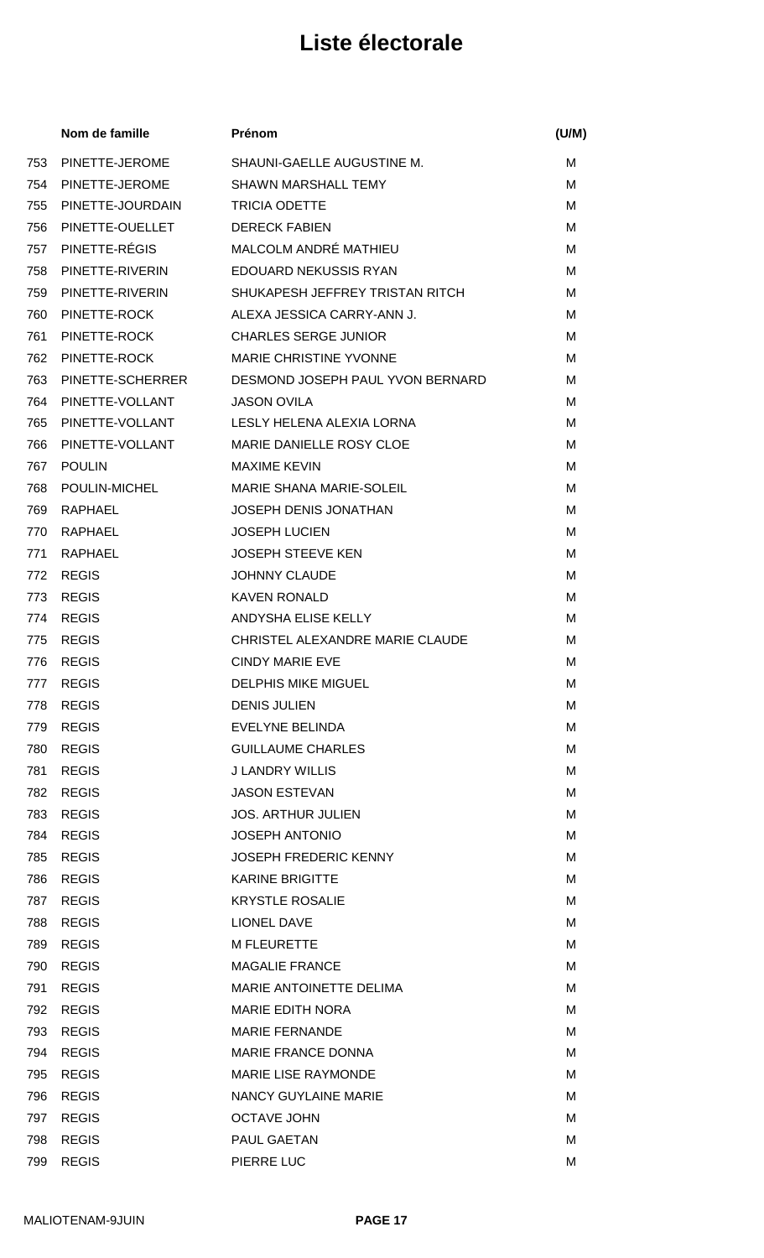|     | Nom de famille   | Prénom                           | (U/M) |
|-----|------------------|----------------------------------|-------|
| 753 | PINETTE-JEROME   | SHAUNI-GAELLE AUGUSTINE M.       | м     |
| 754 | PINETTE-JEROME   | <b>SHAWN MARSHALL TEMY</b>       | м     |
| 755 | PINETTE-JOURDAIN | <b>TRICIA ODETTE</b>             | M     |
| 756 | PINETTE-OUELLET  | <b>DERECK FABIEN</b>             | M     |
| 757 | PINETTE-RÉGIS    | MALCOLM ANDRÉ MATHIEU            | м     |
| 758 | PINETTE-RIVERIN  | <b>EDOUARD NEKUSSIS RYAN</b>     | м     |
| 759 | PINETTE-RIVERIN  | SHUKAPESH JEFFREY TRISTAN RITCH  | M     |
| 760 | PINETTE-ROCK     | ALEXA JESSICA CARRY-ANN J.       | M     |
| 761 | PINETTE-ROCK     | <b>CHARLES SERGE JUNIOR</b>      | M     |
| 762 | PINETTE-ROCK     | MARIE CHRISTINE YVONNE           | M     |
| 763 | PINETTE-SCHERRER | DESMOND JOSEPH PAUL YVON BERNARD | M     |
| 764 | PINETTE-VOLLANT  | <b>JASON OVILA</b>               | M     |
| 765 | PINETTE-VOLLANT  | LESLY HELENA ALEXIA LORNA        | M     |
| 766 | PINETTE-VOLLANT  | MARIE DANIELLE ROSY CLOE         | м     |
| 767 | <b>POULIN</b>    | <b>MAXIME KEVIN</b>              | м     |
| 768 | POULIN-MICHEL    | MARIE SHANA MARIE-SOLEIL         | м     |
| 769 | RAPHAEL          | <b>JOSEPH DENIS JONATHAN</b>     | M     |
| 770 | RAPHAEL          | <b>JOSEPH LUCIEN</b>             | M     |
| 771 | RAPHAEL          | <b>JOSEPH STEEVE KEN</b>         | м     |
| 772 | <b>REGIS</b>     | <b>JOHNNY CLAUDE</b>             | M     |
| 773 | <b>REGIS</b>     | <b>KAVEN RONALD</b>              | M     |
| 774 | <b>REGIS</b>     | ANDYSHA ELISE KELLY              | м     |
| 775 | <b>REGIS</b>     | CHRISTEL ALEXANDRE MARIE CLAUDE  | м     |
| 776 | <b>REGIS</b>     | <b>CINDY MARIE EVE</b>           | М     |
|     | 777 REGIS        | <b>DELPHIS MIKE MIGUEL</b>       | M     |
| 778 | <b>REGIS</b>     | <b>DENIS JULIEN</b>              | М     |
| 779 | <b>REGIS</b>     | EVELYNE BELINDA                  | M     |
| 780 | <b>REGIS</b>     | <b>GUILLAUME CHARLES</b>         | м     |
| 781 | <b>REGIS</b>     | <b>J LANDRY WILLIS</b>           | м     |
| 782 | <b>REGIS</b>     | <b>JASON ESTEVAN</b>             | M     |
| 783 | <b>REGIS</b>     | <b>JOS. ARTHUR JULIEN</b>        | м     |
| 784 | <b>REGIS</b>     | <b>JOSEPH ANTONIO</b>            | M     |
| 785 | <b>REGIS</b>     | <b>JOSEPH FREDERIC KENNY</b>     | м     |
| 786 | <b>REGIS</b>     | <b>KARINE BRIGITTE</b>           | M     |
| 787 | <b>REGIS</b>     | <b>KRYSTLE ROSALIE</b>           | м     |
| 788 | <b>REGIS</b>     | <b>LIONEL DAVE</b>               | м     |
| 789 | <b>REGIS</b>     | <b>M FLEURETTE</b>               | м     |
| 790 | <b>REGIS</b>     | <b>MAGALIE FRANCE</b>            | м     |
| 791 | <b>REGIS</b>     | MARIE ANTOINETTE DELIMA          | м     |
| 792 | <b>REGIS</b>     | <b>MARIE EDITH NORA</b>          | м     |
| 793 | <b>REGIS</b>     | <b>MARIE FERNANDE</b>            | M     |
| 794 | <b>REGIS</b>     | MARIE FRANCE DONNA               | м     |
| 795 | <b>REGIS</b>     | <b>MARIE LISE RAYMONDE</b>       | M     |
| 796 | <b>REGIS</b>     | NANCY GUYLAINE MARIE             | м     |
| 797 | <b>REGIS</b>     | <b>OCTAVE JOHN</b>               | M     |
| 798 | <b>REGIS</b>     | PAUL GAETAN                      | M     |
| 799 | <b>REGIS</b>     | PIERRE LUC                       | M     |
|     |                  |                                  |       |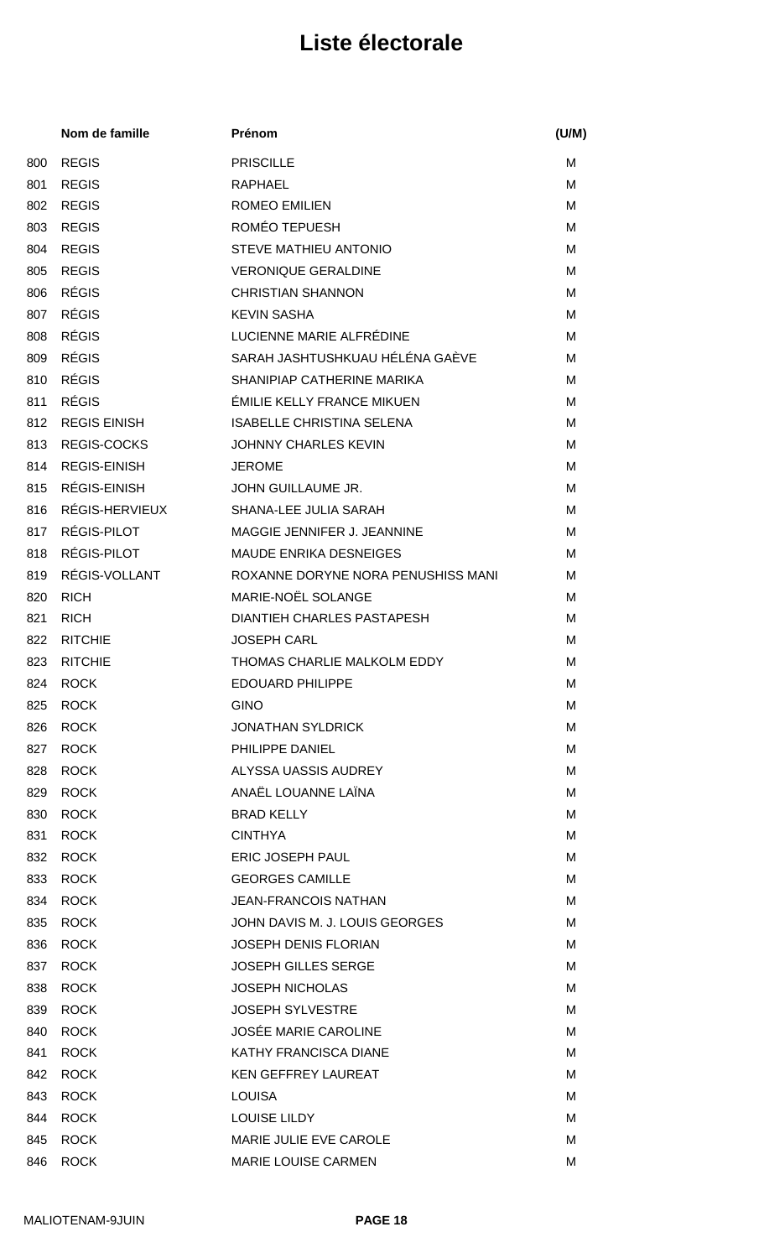|     | Nom de famille      | Prénom                             | (U/M) |
|-----|---------------------|------------------------------------|-------|
| 800 | <b>REGIS</b>        | <b>PRISCILLE</b>                   | м     |
| 801 | <b>REGIS</b>        | <b>RAPHAEL</b>                     | M     |
| 802 | <b>REGIS</b>        | <b>ROMEO EMILIEN</b>               | м     |
| 803 | <b>REGIS</b>        | ROMÉO TEPUESH                      | M     |
| 804 | <b>REGIS</b>        | STEVE MATHIEU ANTONIO              | M     |
| 805 | <b>REGIS</b>        | <b>VERONIQUE GERALDINE</b>         | м     |
| 806 | <b>RÉGIS</b>        | <b>CHRISTIAN SHANNON</b>           | M     |
| 807 | <b>RÉGIS</b>        | <b>KEVIN SASHA</b>                 | м     |
| 808 | <b>RÉGIS</b>        | LUCIENNE MARIE ALFRÉDINE           | M     |
| 809 | <b>RÉGIS</b>        | SARAH JASHTUSHKUAU HÉLÉNA GAÈVE    | M     |
| 810 | <b>RÉGIS</b>        | SHANIPIAP CATHERINE MARIKA         | M     |
| 811 | <b>RÉGIS</b>        | <b>ÉMILIE KELLY FRANCE MIKUEN</b>  | M     |
| 812 | <b>REGIS EINISH</b> | <b>ISABELLE CHRISTINA SELENA</b>   | M     |
| 813 | <b>REGIS-COCKS</b>  | JOHNNY CHARLES KEVIN               | M     |
| 814 | <b>REGIS-EINISH</b> | <b>JEROME</b>                      | M     |
| 815 | RÉGIS-EINISH        | JOHN GUILLAUME JR.                 | M     |
| 816 | RÉGIS-HERVIEUX      | SHANA-LEE JULIA SARAH              | M     |
| 817 | RÉGIS-PILOT         | MAGGIE JENNIFER J. JEANNINE        | M     |
| 818 | RÉGIS-PILOT         | <b>MAUDE ENRIKA DESNEIGES</b>      | M     |
| 819 | RÉGIS-VOLLANT       | ROXANNE DORYNE NORA PENUSHISS MANI | M     |
| 820 | <b>RICH</b>         | <b>MARIE-NOËL SOLANGE</b>          | м     |
| 821 | <b>RICH</b>         | <b>DIANTIEH CHARLES PASTAPESH</b>  | M     |
| 822 | <b>RITCHIE</b>      | <b>JOSEPH CARL</b>                 | М     |
| 823 | <b>RITCHIE</b>      | THOMAS CHARLIE MALKOLM EDDY        | M     |
|     | 824 ROCK            | EDOUARD PHILIPPE                   | M     |
| 825 | <b>ROCK</b>         | <b>GINO</b>                        | М     |
| 826 | <b>ROCK</b>         | <b>JONATHAN SYLDRICK</b>           | м     |
| 827 | <b>ROCK</b>         | PHILIPPE DANIEL                    | м     |
| 828 | <b>ROCK</b>         | ALYSSA UASSIS AUDREY               | м     |
| 829 | <b>ROCK</b>         | ANAËL LOUANNE LAÏNA                | M     |
| 830 | <b>ROCK</b>         | <b>BRAD KELLY</b>                  | м     |
| 831 | <b>ROCK</b>         | <b>CINTHYA</b>                     | M     |
| 832 | <b>ROCK</b>         | ERIC JOSEPH PAUL                   | М     |
| 833 | <b>ROCK</b>         | <b>GEORGES CAMILLE</b>             | M     |
| 834 | <b>ROCK</b>         | <b>JEAN-FRANCOIS NATHAN</b>        | М     |
| 835 | <b>ROCK</b>         | JOHN DAVIS M. J. LOUIS GEORGES     | м     |
| 836 | <b>ROCK</b>         | <b>JOSEPH DENIS FLORIAN</b>        | м     |
| 837 | <b>ROCK</b>         | <b>JOSEPH GILLES SERGE</b>         | м     |
| 838 | <b>ROCK</b>         | <b>JOSEPH NICHOLAS</b>             | M     |
| 839 | <b>ROCK</b>         | <b>JOSEPH SYLVESTRE</b>            | М     |
| 840 | <b>ROCK</b>         | <b>JOSÉE MARIE CAROLINE</b>        | M     |
| 841 | <b>ROCK</b>         | KATHY FRANCISCA DIANE              | м     |
| 842 | <b>ROCK</b>         | <b>KEN GEFFREY LAUREAT</b>         | M     |
| 843 | <b>ROCK</b>         | <b>LOUISA</b>                      | М     |
| 844 | <b>ROCK</b>         | <b>LOUISE LILDY</b>                | M     |
| 845 | <b>ROCK</b>         | MARIE JULIE EVE CAROLE             | M     |
| 846 | <b>ROCK</b>         | MARIE LOUISE CARMEN                | M     |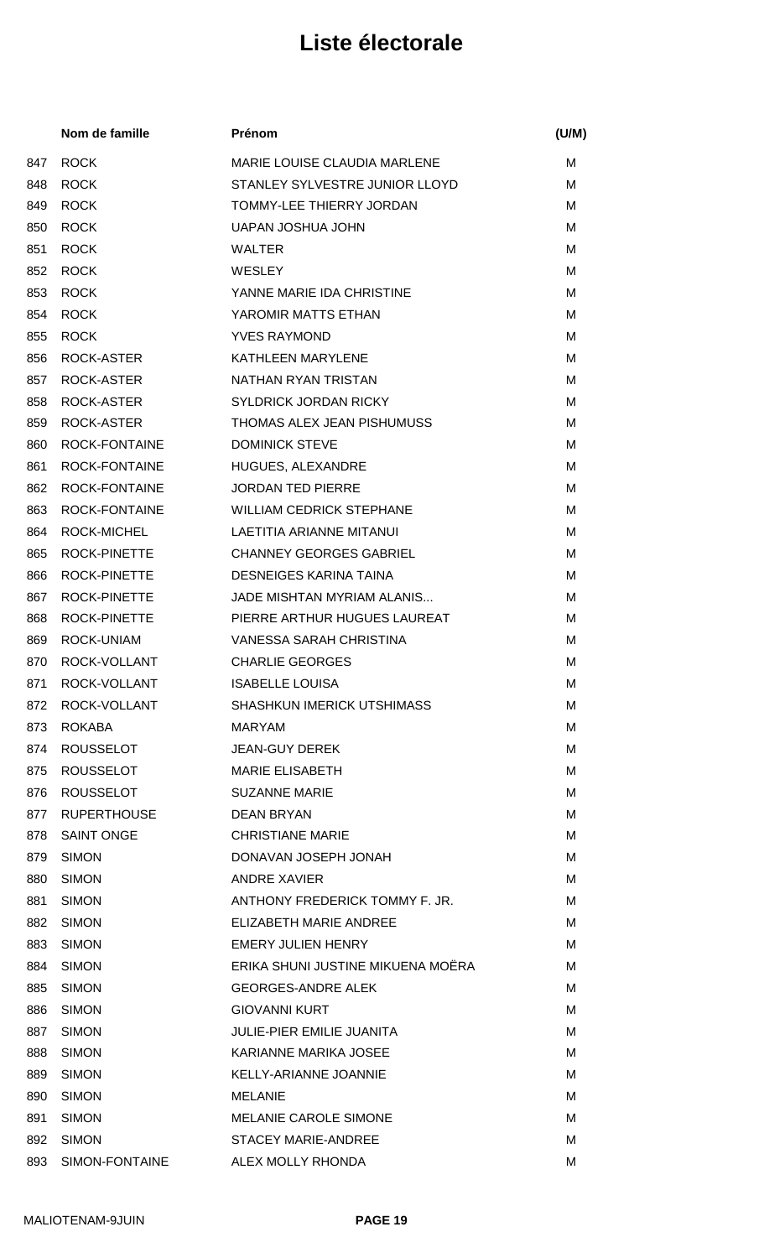|     | Nom de famille      | Prénom                              | (U/M) |
|-----|---------------------|-------------------------------------|-------|
| 847 | <b>ROCK</b>         | <b>MARIE LOUISE CLAUDIA MARLENE</b> | м     |
| 848 | <b>ROCK</b>         | STANLEY SYLVESTRE JUNIOR LLOYD      | м     |
| 849 | <b>ROCK</b>         | TOMMY-LEE THIERRY JORDAN            | м     |
| 850 | <b>ROCK</b>         | UAPAN JOSHUA JOHN                   | м     |
| 851 | <b>ROCK</b>         | <b>WALTER</b>                       | M     |
| 852 | <b>ROCK</b>         | <b>WESLEY</b>                       | M     |
| 853 | <b>ROCK</b>         | YANNE MARIE IDA CHRISTINE           | м     |
| 854 | <b>ROCK</b>         | YAROMIR MATTS ETHAN                 | м     |
| 855 | <b>ROCK</b>         | <b>YVES RAYMOND</b>                 | M     |
| 856 | ROCK-ASTER          | <b>KATHLEEN MARYLENE</b>            | м     |
| 857 | ROCK-ASTER          | NATHAN RYAN TRISTAN                 | M     |
| 858 | ROCK-ASTER          | <b>SYLDRICK JORDAN RICKY</b>        | м     |
| 859 | ROCK-ASTER          | THOMAS ALEX JEAN PISHUMUSS          | M     |
| 860 | ROCK-FONTAINE       | <b>DOMINICK STEVE</b>               | м     |
| 861 | ROCK-FONTAINE       | HUGUES, ALEXANDRE                   | м     |
| 862 | ROCK-FONTAINE       | <b>JORDAN TED PIERRE</b>            | м     |
| 863 | ROCK-FONTAINE       | <b>WILLIAM CEDRICK STEPHANE</b>     | м     |
| 864 | ROCK-MICHEL         | LAETITIA ARIANNE MITANUI            | м     |
| 865 | ROCK-PINETTE        | <b>CHANNEY GEORGES GABRIEL</b>      | M     |
| 866 | <b>ROCK-PINETTE</b> | DESNEIGES KARINA TAINA              | M     |
| 867 | ROCK-PINETTE        | JADE MISHTAN MYRIAM ALANIS          | M     |
| 868 | ROCK-PINETTE        | PIERRE ARTHUR HUGUES LAUREAT        | M     |
| 869 | ROCK-UNIAM          | VANESSA SARAH CHRISTINA             | м     |
| 870 | ROCK-VOLLANT        | <b>CHARLIE GEORGES</b>              | M     |
| 871 | ROCK-VOLLANT        | <b>ISABELLE LOUISA</b>              | М     |
| 872 | ROCK-VOLLANT        | <b>SHASHKUN IMERICK UTSHIMASS</b>   | м     |
| 873 | <b>ROKABA</b>       | <b>MARYAM</b>                       | м     |
| 874 | <b>ROUSSELOT</b>    | <b>JEAN-GUY DEREK</b>               | м     |
| 875 | <b>ROUSSELOT</b>    | <b>MARIE ELISABETH</b>              | м     |
| 876 | <b>ROUSSELOT</b>    | <b>SUZANNE MARIE</b>                | M     |
| 877 | <b>RUPERTHOUSE</b>  | <b>DEAN BRYAN</b>                   | м     |
| 878 | <b>SAINT ONGE</b>   | <b>CHRISTIANE MARIE</b>             | м     |
| 879 | <b>SIMON</b>        | DONAVAN JOSEPH JONAH                | М     |
| 880 | <b>SIMON</b>        | ANDRE XAVIER                        | м     |
| 881 | <b>SIMON</b>        | ANTHONY FREDERICK TOMMY F. JR.      | м     |
| 882 | <b>SIMON</b>        | ELIZABETH MARIE ANDREE              | м     |
| 883 | <b>SIMON</b>        | <b>EMERY JULIEN HENRY</b>           | м     |
| 884 | <b>SIMON</b>        | ERIKA SHUNI JUSTINE MIKUENA MOËRA   | м     |
| 885 | <b>SIMON</b>        | <b>GEORGES-ANDRE ALEK</b>           | м     |
| 886 | <b>SIMON</b>        | <b>GIOVANNI KURT</b>                | м     |
| 887 | <b>SIMON</b>        | <b>JULIE-PIER EMILIE JUANITA</b>    | M     |
| 888 | <b>SIMON</b>        | KARIANNE MARIKA JOSEE               | м     |
| 889 | <b>SIMON</b>        | <b>KELLY-ARIANNE JOANNIE</b>        | M     |
| 890 | <b>SIMON</b>        | <b>MELANIE</b>                      | М     |
| 891 | <b>SIMON</b>        | <b>MELANIE CAROLE SIMONE</b>        | м     |
| 892 | <b>SIMON</b>        | <b>STACEY MARIE-ANDREE</b>          | м     |
| 893 | SIMON-FONTAINE      | ALEX MOLLY RHONDA                   | M     |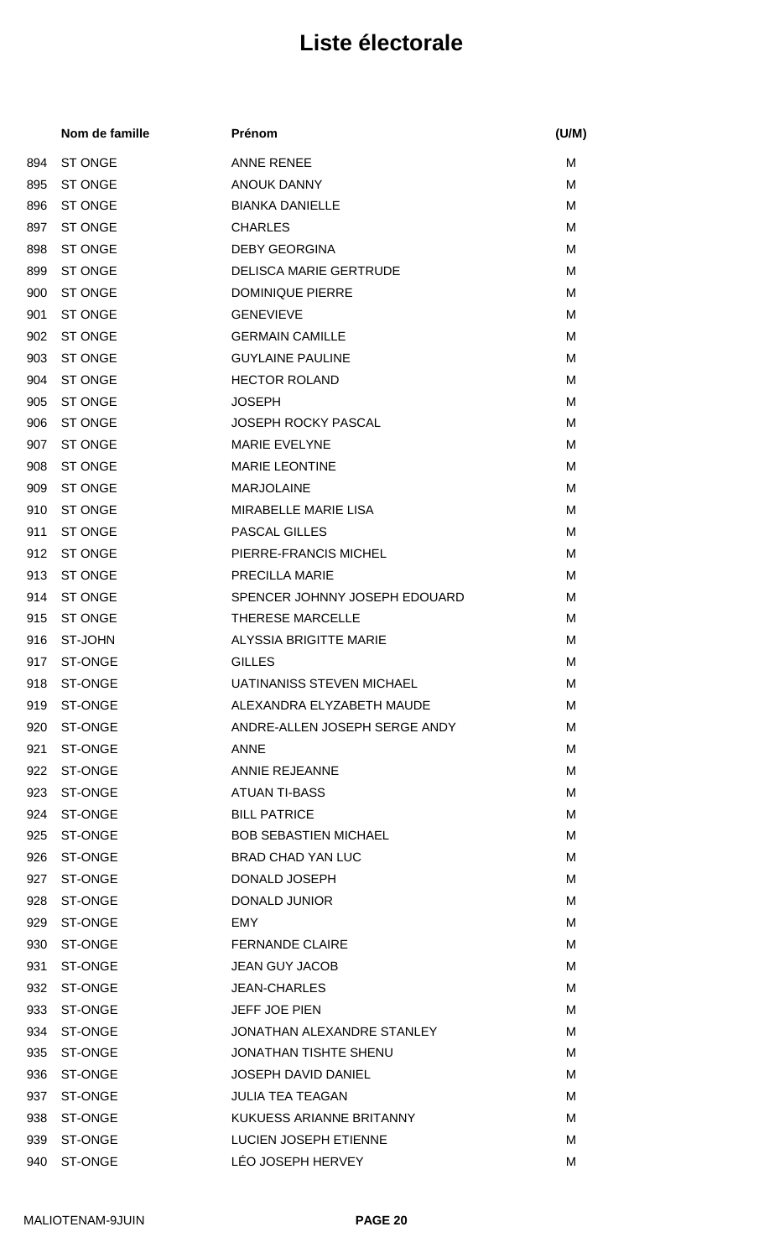|     | Nom de famille | Prénom                           | (U/M) |
|-----|----------------|----------------------------------|-------|
| 894 | <b>ST ONGE</b> | <b>ANNE RENEE</b>                | м     |
| 895 | <b>ST ONGE</b> | <b>ANOUK DANNY</b>               | M     |
| 896 | <b>ST ONGE</b> | <b>BIANKA DANIELLE</b>           | м     |
| 897 | <b>ST ONGE</b> | <b>CHARLES</b>                   | M     |
| 898 | <b>ST ONGE</b> | <b>DEBY GEORGINA</b>             | M     |
| 899 | <b>ST ONGE</b> | <b>DELISCA MARIE GERTRUDE</b>    | M     |
| 900 | <b>ST ONGE</b> | <b>DOMINIQUE PIERRE</b>          | M     |
| 901 | ST ONGE        | <b>GENEVIEVE</b>                 | м     |
| 902 | <b>ST ONGE</b> | <b>GERMAIN CAMILLE</b>           | M     |
| 903 | <b>ST ONGE</b> | <b>GUYLAINE PAULINE</b>          | M     |
| 904 | <b>ST ONGE</b> | <b>HECTOR ROLAND</b>             | M     |
| 905 | <b>ST ONGE</b> | <b>JOSEPH</b>                    | M     |
| 906 | <b>ST ONGE</b> | <b>JOSEPH ROCKY PASCAL</b>       | M     |
| 907 | <b>ST ONGE</b> | <b>MARIE EVELYNE</b>             | M     |
| 908 | <b>ST ONGE</b> | <b>MARIE LEONTINE</b>            | M     |
| 909 | <b>ST ONGE</b> | <b>MARJOLAINE</b>                | M     |
| 910 | <b>ST ONGE</b> | <b>MIRABELLE MARIE LISA</b>      | M     |
| 911 | <b>ST ONGE</b> | <b>PASCAL GILLES</b>             | M     |
| 912 | <b>ST ONGE</b> | PIERRE-FRANCIS MICHEL            | M     |
| 913 | <b>ST ONGE</b> | <b>PRECILLA MARIE</b>            | M     |
| 914 | <b>ST ONGE</b> | SPENCER JOHNNY JOSEPH EDOUARD    | м     |
| 915 | <b>ST ONGE</b> | <b>THERESE MARCELLE</b>          | M     |
| 916 | ST-JOHN        | <b>ALYSSIA BRIGITTE MARIE</b>    | M     |
| 917 | <b>ST-ONGE</b> | <b>GILLES</b>                    | M     |
|     | 918 ST-ONGE    | <b>UATINANISS STEVEN MICHAEL</b> | M     |
| 919 | ST-ONGE        | ALEXANDRA ELYZABETH MAUDE        | M     |
| 920 | ST-ONGE        | ANDRE-ALLEN JOSEPH SERGE ANDY    | м     |
| 921 | <b>ST-ONGE</b> | <b>ANNE</b>                      | M     |
| 922 | ST-ONGE        | <b>ANNIE REJEANNE</b>            | м     |
| 923 | ST-ONGE        | ATUAN TI-BASS                    | M     |
| 924 | <b>ST-ONGE</b> | <b>BILL PATRICE</b>              | M     |
| 925 | ST-ONGE        | <b>BOB SEBASTIEN MICHAEL</b>     | M     |
| 926 | ST-ONGE        | <b>BRAD CHAD YAN LUC</b>         | м     |
| 927 | ST-ONGE        | DONALD JOSEPH                    | M     |
| 928 | ST-ONGE        | <b>DONALD JUNIOR</b>             | M     |
| 929 | ST-ONGE        | EMY                              | M     |
| 930 | ST-ONGE        | <b>FERNANDE CLAIRE</b>           | M     |
| 931 | ST-ONGE        | <b>JEAN GUY JACOB</b>            | м     |
| 932 | ST-ONGE        | <b>JEAN-CHARLES</b>              | M     |
| 933 | ST-ONGE        | <b>JEFF JOE PIEN</b>             | M     |
| 934 | ST-ONGE        | JONATHAN ALEXANDRE STANLEY       | M     |
| 935 | <b>ST-ONGE</b> | <b>JONATHAN TISHTE SHENU</b>     | м     |
| 936 | ST-ONGE        | <b>JOSEPH DAVID DANIEL</b>       | M     |
| 937 | ST-ONGE        | <b>JULIA TEA TEAGAN</b>          | м     |
| 938 | ST-ONGE        | KUKUESS ARIANNE BRITANNY         | M     |
| 939 | ST-ONGE        | LUCIEN JOSEPH ETIENNE            | M     |
| 940 | ST-ONGE        | LÉO JOSEPH HERVEY                | M     |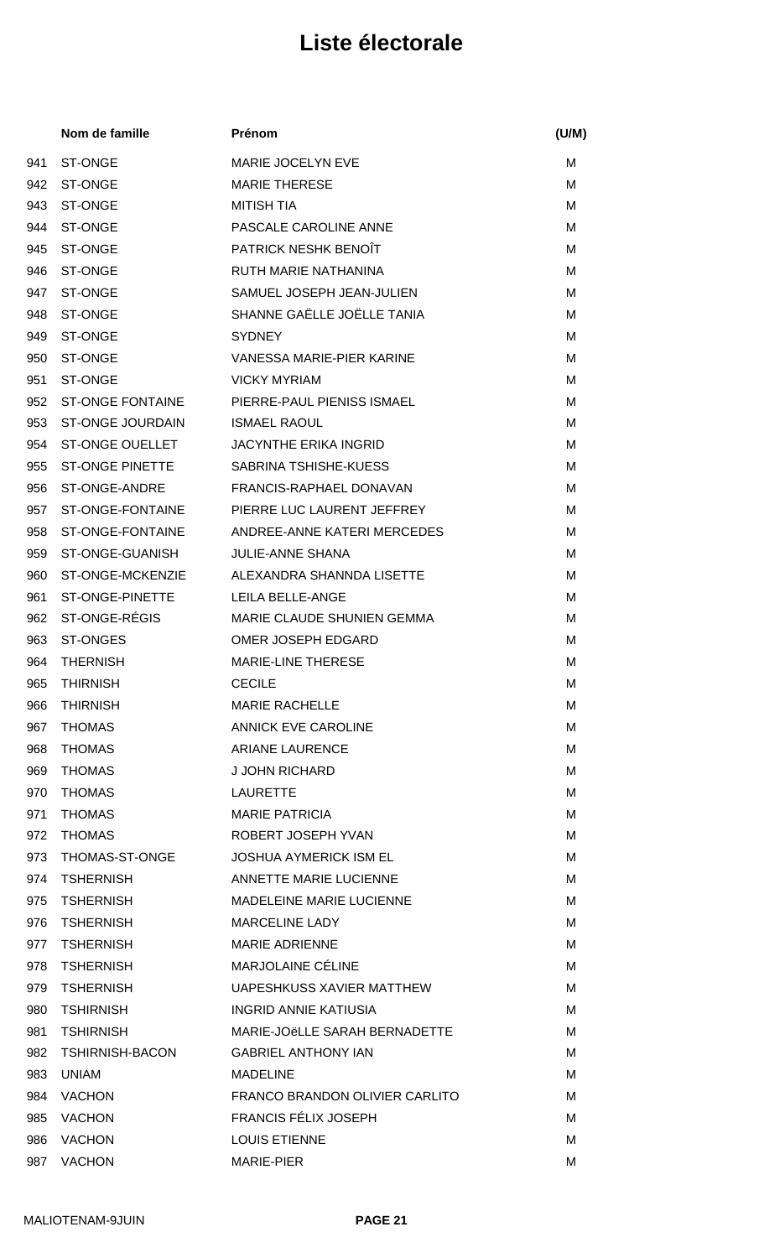|     | Nom de famille          | Prénom                          | (U/M) |
|-----|-------------------------|---------------------------------|-------|
| 941 | <b>ST-ONGE</b>          | MARIE JOCELYN EVE               | М     |
| 942 | <b>ST-ONGE</b>          | <b>MARIE THERESE</b>            | М     |
| 943 | <b>ST-ONGE</b>          | <b>MITISH TIA</b>               | М     |
| 944 | <b>ST-ONGE</b>          | PASCALE CAROLINE ANNE           | M     |
| 945 | <b>ST-ONGE</b>          | PATRICK NESHK BENOIT            | M     |
| 946 | <b>ST-ONGE</b>          | <b>RUTH MARIE NATHANINA</b>     | м     |
| 947 | ST-ONGE                 | SAMUEL JOSEPH JEAN-JULIEN       | M     |
| 948 | <b>ST-ONGE</b>          | SHANNE GAËLLE JOËLLE TANIA      | M     |
| 949 | <b>ST-ONGE</b>          | <b>SYDNEY</b>                   | M     |
| 950 | ST-ONGE                 | VANESSA MARIE-PIER KARINE       | M     |
| 951 | <b>ST-ONGE</b>          | <b>VICKY MYRIAM</b>             | М     |
| 952 | <b>ST-ONGE FONTAINE</b> | PIERRE-PAUL PIENISS ISMAEL      | M     |
| 953 | <b>ST-ONGE JOURDAIN</b> | <b>ISMAEL RAOUL</b>             | М     |
| 954 | <b>ST-ONGE OUELLET</b>  | <b>JACYNTHE ERIKA INGRID</b>    | M     |
| 955 | <b>ST-ONGE PINETTE</b>  | SABRINA TSHISHE-KUESS           | M     |
| 956 | ST-ONGE-ANDRE           | FRANCIS-RAPHAEL DONAVAN         | M     |
| 957 | ST-ONGE-FONTAINE        | PIERRE LUC LAURENT JEFFREY      | М     |
| 958 | ST-ONGE-FONTAINE        | ANDREE-ANNE KATERI MERCEDES     | М     |
| 959 | ST-ONGE-GUANISH         | <b>JULIE-ANNE SHANA</b>         | M     |
| 960 | ST-ONGE-MCKENZIE        | ALEXANDRA SHANNDA LISETTE       | M     |
| 961 | ST-ONGE-PINETTE         | LEILA BELLE-ANGE                | M     |
| 962 | ST-ONGE-RÉGIS           | MARIE CLAUDE SHUNIEN GEMMA      | M     |
| 963 | <b>ST-ONGES</b>         | OMER JOSEPH EDGARD              | М     |
| 964 | <b>THERNISH</b>         | MARIE-LINE THERESE              | M     |
| 965 | <b>THIRNISH</b>         | <b>CECILE</b>                   | М     |
| 966 | <b>THIRNISH</b>         | <b>MARIE RACHELLE</b>           | м     |
| 967 | <b>THOMAS</b>           | <b>ANNICK EVE CAROLINE</b>      | M     |
| 968 | <b>THOMAS</b>           | <b>ARIANE LAURENCE</b>          | M     |
| 969 | <b>THOMAS</b>           | <b>J JOHN RICHARD</b>           | M     |
| 970 | <b>THOMAS</b>           | LAURETTE                        | M     |
| 971 | <b>THOMAS</b>           | <b>MARIE PATRICIA</b>           | M     |
| 972 | <b>THOMAS</b>           | ROBERT JOSEPH YVAN              | M     |
| 973 | THOMAS-ST-ONGE          | <b>JOSHUA AYMERICK ISM EL</b>   | М     |
|     | 974 TSHERNISH           | ANNETTE MARIE LUCIENNE          | M     |
| 975 | <b>TSHERNISH</b>        | <b>MADELEINE MARIE LUCIENNE</b> | м     |
| 976 | <b>TSHERNISH</b>        | <b>MARCELINE LADY</b>           | м     |
| 977 | <b>TSHERNISH</b>        | <b>MARIE ADRIENNE</b>           | M     |
| 978 | TSHERNISH               | MARJOLAINE CÉLINE               | м     |
| 979 | <b>TSHERNISH</b>        | UAPESHKUSS XAVIER MATTHEW       | M     |
| 980 | TSHIRNISH               | INGRID ANNIE KATIUSIA           | м     |
| 981 | TSHIRNISH               | MARIE-JOËLLE SARAH BERNADETTE   | M     |
|     | 982 TSHIRNISH-BACON     | <b>GABRIEL ANTHONY IAN</b>      | м     |
| 983 | UNIAM                   | <b>MADELINE</b>                 | M     |
| 984 | <b>VACHON</b>           | FRANCO BRANDON OLIVIER CARLITO  | м     |
| 985 | <b>VACHON</b>           | FRANCIS FÉLIX JOSEPH            | м     |
| 986 | <b>VACHON</b>           | <b>LOUIS ETIENNE</b>            | M     |
|     | 987 VACHON              | MARIE-PIER                      | M     |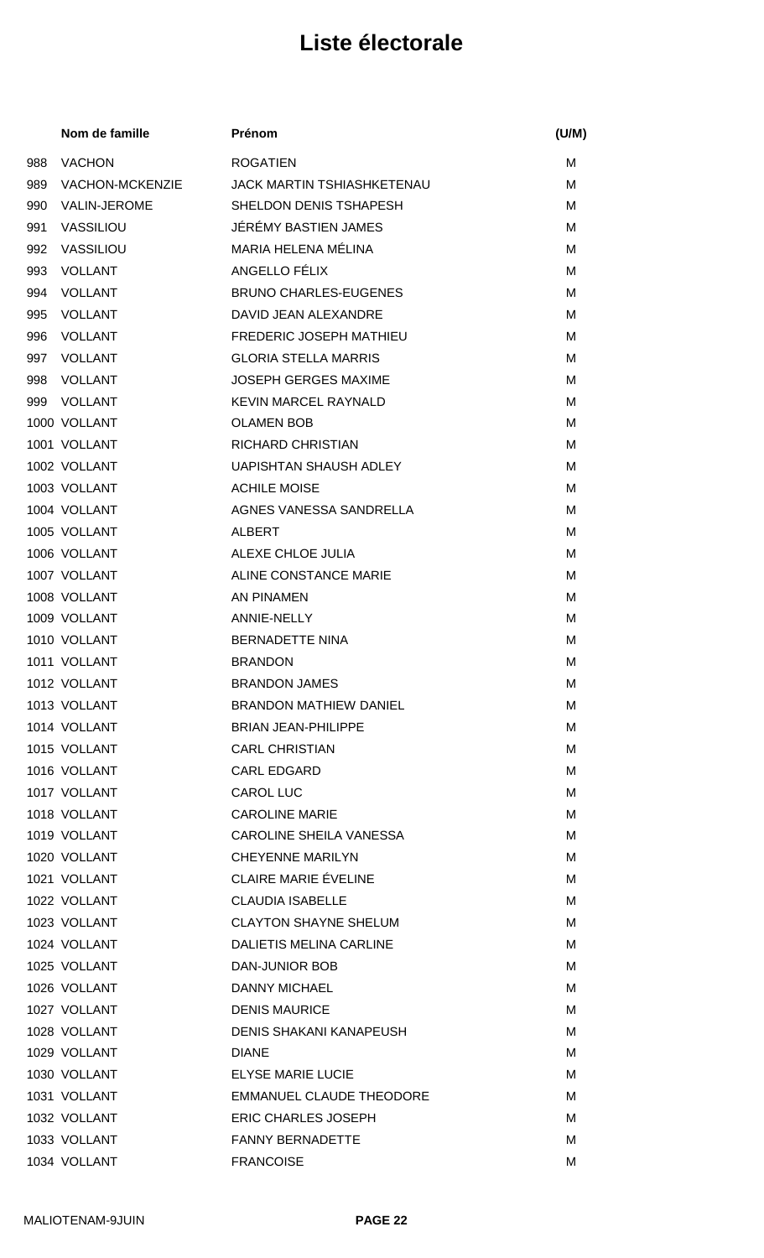|     | Nom de famille         | Prénom                            | (U/M) |
|-----|------------------------|-----------------------------------|-------|
| 988 | <b>VACHON</b>          | <b>ROGATIEN</b>                   | м     |
| 989 | <b>VACHON-MCKENZIE</b> | <b>JACK MARTIN TSHIASHKETENAU</b> | м     |
| 990 | <b>VALIN-JEROME</b>    | SHELDON DENIS TSHAPESH            | м     |
| 991 | VASSILIOU              | JÉRÉMY BASTIEN JAMES              | м     |
| 992 | VASSILIOU              | MARIA HELENA MÉLINA               | M     |
| 993 | <b>VOLLANT</b>         | ANGELLO FÉLIX                     | м     |
| 994 | <b>VOLLANT</b>         | <b>BRUNO CHARLES-EUGENES</b>      | M     |
| 995 | <b>VOLLANT</b>         | DAVID JEAN ALEXANDRE              | м     |
| 996 | <b>VOLLANT</b>         | FREDERIC JOSEPH MATHIEU           | м     |
| 997 | <b>VOLLANT</b>         | <b>GLORIA STELLA MARRIS</b>       | м     |
| 998 | <b>VOLLANT</b>         | <b>JOSEPH GERGES MAXIME</b>       | м     |
| 999 | <b>VOLLANT</b>         | <b>KEVIN MARCEL RAYNALD</b>       | M     |
|     | 1000 VOLLANT           | <b>OLAMEN BOB</b>                 | м     |
|     | 1001 VOLLANT           | <b>RICHARD CHRISTIAN</b>          | M     |
|     | 1002 VOLLANT           | <b>UAPISHTAN SHAUSH ADLEY</b>     | M     |
|     | 1003 VOLLANT           | <b>ACHILE MOISE</b>               | M     |
|     | 1004 VOLLANT           | AGNES VANESSA SANDRELLA           | M     |
|     | 1005 VOLLANT           | <b>ALBERT</b>                     | м     |
|     | 1006 VOLLANT           | ALEXE CHLOE JULIA                 | M     |
|     | 1007 VOLLANT           | ALINE CONSTANCE MARIE             | м     |
|     | 1008 VOLLANT           | <b>AN PINAMEN</b>                 | м     |
|     | 1009 VOLLANT           | <b>ANNIE-NELLY</b>                | M     |
|     | 1010 VOLLANT           | <b>BERNADETTE NINA</b>            | м     |
|     | 1011 VOLLANT           | <b>BRANDON</b>                    | M     |
|     | 1012 VOLLANT           | <b>BRANDON JAMES</b>              | м     |
|     | 1013 VOLLANT           | <b>BRANDON MATHIEW DANIEL</b>     | м     |
|     | 1014 VOLLANT           | <b>BRIAN JEAN-PHILIPPE</b>        | м     |
|     | 1015 VOLLANT           | <b>CARL CHRISTIAN</b>             | м     |
|     | 1016 VOLLANT           | <b>CARL EDGARD</b>                | м     |
|     | 1017 VOLLANT           | <b>CAROL LUC</b>                  | M     |
|     | 1018 VOLLANT           | <b>CAROLINE MARIE</b>             | M     |
|     | 1019 VOLLANT           | <b>CAROLINE SHEILA VANESSA</b>    | M     |
|     | 1020 VOLLANT           | <b>CHEYENNE MARILYN</b>           | М     |
|     | 1021 VOLLANT           | <b>CLAIRE MARIE ÉVELINE</b>       | м     |
|     | 1022 VOLLANT           | <b>CLAUDIA ISABELLE</b>           | м     |
|     | 1023 VOLLANT           | <b>CLAYTON SHAYNE SHELUM</b>      | м     |
|     | 1024 VOLLANT           | DALIETIS MELINA CARLINE           | М     |
|     | 1025 VOLLANT           | DAN-JUNIOR BOB                    | м     |
|     | 1026 VOLLANT           | <b>DANNY MICHAEL</b>              | M     |
|     | 1027 VOLLANT           | <b>DENIS MAURICE</b>              | м     |
|     | 1028 VOLLANT           | <b>DENIS SHAKANI KANAPEUSH</b>    | м     |
|     | 1029 VOLLANT           | <b>DIANE</b>                      | М     |
|     | 1030 VOLLANT           | <b>ELYSE MARIE LUCIE</b>          | м     |
|     | 1031 VOLLANT           | <b>EMMANUEL CLAUDE THEODORE</b>   | м     |
|     | 1032 VOLLANT           | <b>ERIC CHARLES JOSEPH</b>        | м     |
|     | 1033 VOLLANT           | <b>FANNY BERNADETTE</b>           | м     |
|     | 1034 VOLLANT           | <b>FRANCOISE</b>                  | M     |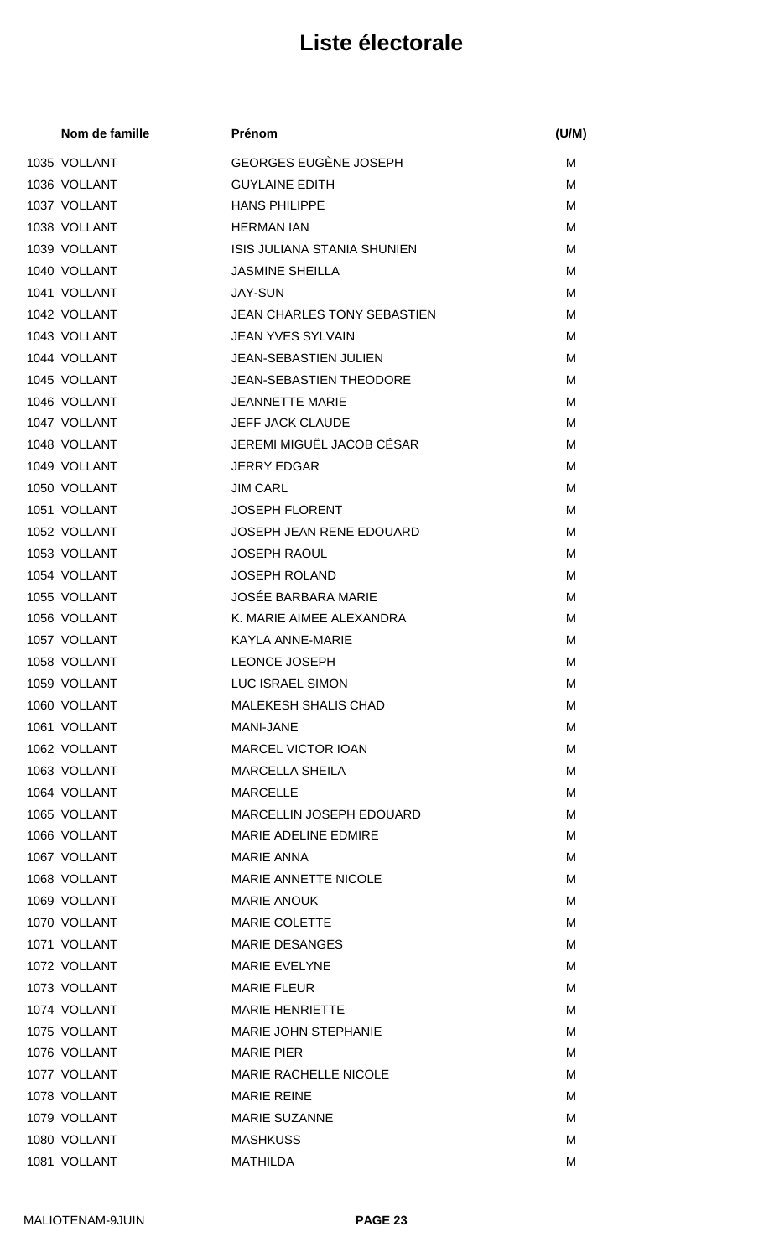| Nom de famille | Prénom                             | (U/M) |
|----------------|------------------------------------|-------|
| 1035 VOLLANT   | <b>GEORGES EUGÈNE JOSEPH</b>       | М     |
| 1036 VOLLANT   | <b>GUYLAINE EDITH</b>              | М     |
| 1037 VOLLANT   | <b>HANS PHILIPPE</b>               | М     |
| 1038 VOLLANT   | <b>HERMAN IAN</b>                  | М     |
| 1039 VOLLANT   | ISIS JULIANA STANIA SHUNIEN        | М     |
| 1040 VOLLANT   | <b>JASMINE SHEILLA</b>             | м     |
| 1041 VOLLANT   | <b>JAY-SUN</b>                     | М     |
| 1042 VOLLANT   | <b>JEAN CHARLES TONY SEBASTIEN</b> | М     |
| 1043 VOLLANT   | <b>JEAN YVES SYLVAIN</b>           | М     |
| 1044 VOLLANT   | JEAN-SEBASTIEN JULIEN              | М     |
| 1045 VOLLANT   | <b>JEAN-SEBASTIEN THEODORE</b>     | M     |
| 1046 VOLLANT   | <b>JEANNETTE MARIE</b>             | м     |
| 1047 VOLLANT   | JEFF JACK CLAUDE                   | М     |
| 1048 VOLLANT   | JEREMI MIGUËL JACOB CÉSAR          | М     |
| 1049 VOLLANT   | <b>JERRY EDGAR</b>                 | М     |
| 1050 VOLLANT   | <b>JIM CARL</b>                    | М     |
| 1051 VOLLANT   | <b>JOSEPH FLORENT</b>              | М     |
| 1052 VOLLANT   | JOSEPH JEAN RENE EDOUARD           | M     |
| 1053 VOLLANT   | <b>JOSEPH RAOUL</b>                | М     |
| 1054 VOLLANT   | <b>JOSEPH ROLAND</b>               | М     |
| 1055 VOLLANT   | <b>JOSÉE BARBARA MARIE</b>         | М     |
| 1056 VOLLANT   | K. MARIE AIMEE ALEXANDRA           | М     |
| 1057 VOLLANT   | KAYLA ANNE-MARIE                   | М     |
| 1058 VOLLANT   | <b>LEONCE JOSEPH</b>               | М     |
| 1059 VOLLANT   | LUC ISRAEL SIMON                   | М     |
| 1060 VOLLANT   | <b>MALEKESH SHALIS CHAD</b>        | м     |
| 1061 VOLLANT   | MANI-JANE                          | м     |
| 1062 VOLLANT   | <b>MARCEL VICTOR IOAN</b>          | м     |
| 1063 VOLLANT   | <b>MARCELLA SHEILA</b>             | м     |
| 1064 VOLLANT   | <b>MARCELLE</b>                    | М     |
| 1065 VOLLANT   | <b>MARCELLIN JOSEPH EDOUARD</b>    | м     |
| 1066 VOLLANT   | <b>MARIE ADELINE EDMIRE</b>        | М     |
| 1067 VOLLANT   | <b>MARIE ANNA</b>                  | M     |
| 1068 VOLLANT   | <b>MARIE ANNETTE NICOLE</b>        | м     |
| 1069 VOLLANT   | <b>MARIE ANOUK</b>                 | м     |
| 1070 VOLLANT   | <b>MARIE COLETTE</b>               | м     |
| 1071 VOLLANT   | <b>MARIE DESANGES</b>              | м     |
| 1072 VOLLANT   | <b>MARIE EVELYNE</b>               | м     |
| 1073 VOLLANT   | <b>MARIE FLEUR</b>                 | М     |
| 1074 VOLLANT   | <b>MARIE HENRIETTE</b>             | м     |
| 1075 VOLLANT   | <b>MARIE JOHN STEPHANIE</b>        | M     |
| 1076 VOLLANT   | <b>MARIE PIER</b>                  | м     |
| 1077 VOLLANT   | <b>MARIE RACHELLE NICOLE</b>       | M     |
| 1078 VOLLANT   | <b>MARIE REINE</b>                 | М     |
| 1079 VOLLANT   | <b>MARIE SUZANNE</b>               | м     |
| 1080 VOLLANT   | <b>MASHKUSS</b>                    | M     |
| 1081 VOLLANT   | <b>MATHILDA</b>                    | Μ     |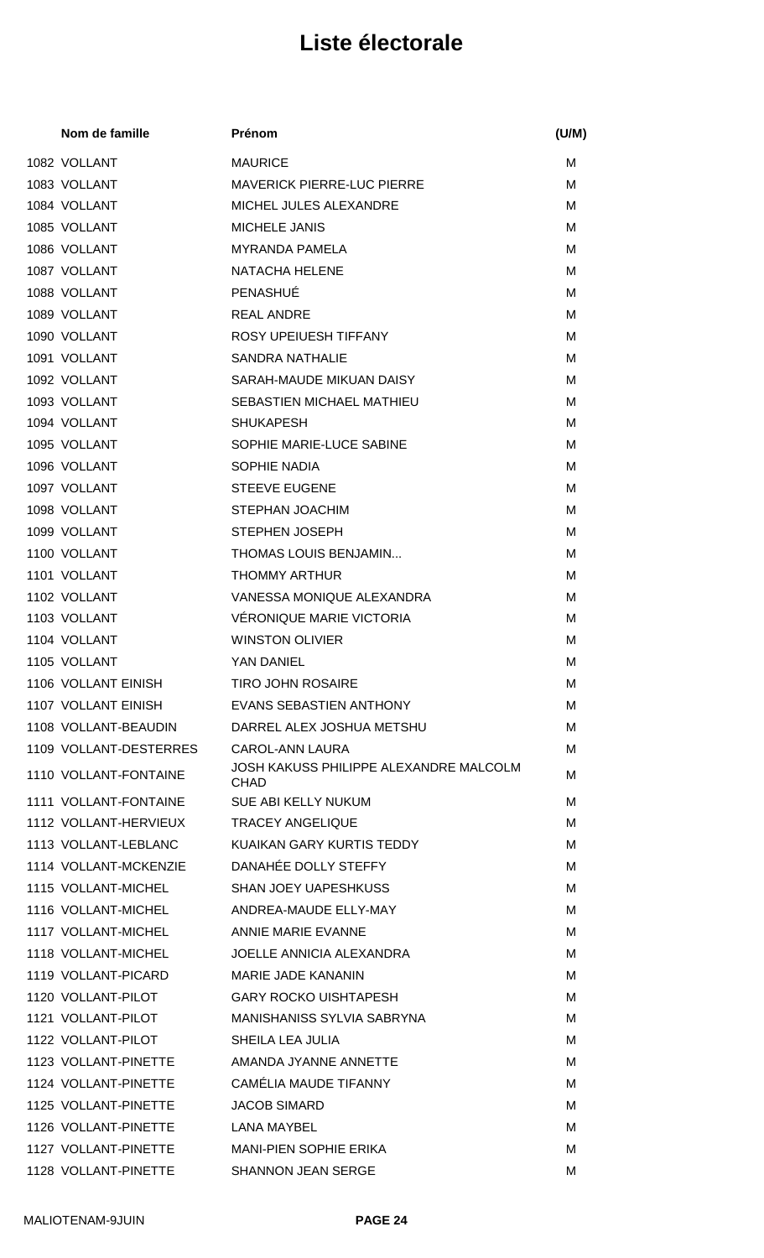| Nom de famille                          | Prénom                                                | (U/M) |
|-----------------------------------------|-------------------------------------------------------|-------|
| 1082 VOLLANT                            | <b>MAURICE</b>                                        | M     |
| 1083 VOLLANT                            | <b>MAVERICK PIERRE-LUC PIERRE</b>                     | м     |
| 1084 VOLLANT                            | MICHEL JULES ALEXANDRE                                | м     |
| 1085 VOLLANT                            | <b>MICHELE JANIS</b>                                  | м     |
| 1086 VOLLANT                            | <b>MYRANDA PAMELA</b>                                 | м     |
| 1087 VOLLANT                            | <b>NATACHA HELENE</b>                                 | м     |
| 1088 VOLLANT                            | PENASHUÉ                                              | M     |
| 1089 VOLLANT                            | <b>REAL ANDRE</b>                                     | м     |
| 1090 VOLLANT                            | ROSY UPEIUESH TIFFANY                                 | м     |
| 1091 VOLLANT                            | <b>SANDRA NATHALIE</b>                                | м     |
| 1092 VOLLANT                            | SARAH-MAUDE MIKUAN DAISY                              | M     |
| 1093 VOLLANT                            | SEBASTIEN MICHAEL MATHIEU                             | M     |
| 1094 VOLLANT                            | <b>SHUKAPESH</b>                                      | м     |
| 1095 VOLLANT                            | SOPHIE MARIE-LUCE SABINE                              | м     |
| 1096 VOLLANT                            | <b>SOPHIE NADIA</b>                                   | м     |
| 1097 VOLLANT                            | <b>STEEVE EUGENE</b>                                  | м     |
| 1098 VOLLANT                            | <b>STEPHAN JOACHIM</b>                                | м     |
| 1099 VOLLANT                            | STEPHEN JOSEPH                                        | м     |
| 1100 VOLLANT                            | THOMAS LOUIS BENJAMIN                                 | м     |
| 1101 VOLLANT                            | <b>THOMMY ARTHUR</b>                                  | M     |
| 1102 VOLLANT                            | VANESSA MONIQUE ALEXANDRA                             | м     |
| 1103 VOLLANT                            | VÉRONIQUE MARIE VICTORIA                              | м     |
| 1104 VOLLANT                            | <b>WINSTON OLIVIER</b>                                | M     |
| 1105 VOLLANT                            | YAN DANIEL                                            | м     |
| 1106 VOLLANT EINISH                     | <b>TIRO JOHN ROSAIRE</b>                              | M     |
| 1107 VOLLANT EINISH                     | EVANS SEBASTIEN ANTHONY                               | м     |
| 1108 VOLLANT-BEAUDIN                    | DARREL ALEX JOSHUA METSHU                             | м     |
| 1109 VOLLANT-DESTERRES                  | CAROL-ANN LAURA                                       | м     |
| 1110 VOLLANT-FONTAINE                   | JOSH KAKUSS PHILIPPE ALEXANDRE MALCOLM<br><b>CHAD</b> | M     |
| 1111 VOLLANT-FONTAINE                   | SUE ABI KELLY NUKUM                                   | м     |
| 1112 VOLLANT-HERVIEUX                   | <b>TRACEY ANGELIQUE</b>                               | м     |
| 1113 VOLLANT-LEBLANC                    | KUAIKAN GARY KURTIS TEDDY                             | м     |
| 1114 VOLLANT-MCKENZIE                   | DANAHÉE DOLLY STEFFY                                  | м     |
| 1115 VOLLANT-MICHEL                     | SHAN JOEY UAPESHKUSS                                  | м     |
| 1116 VOLLANT-MICHEL                     | ANDREA-MAUDE ELLY-MAY                                 | м     |
| 1117 VOLLANT-MICHEL                     | ANNIE MARIE EVANNE                                    | м     |
| 1118 VOLLANT-MICHEL                     | <b>JOELLE ANNICIA ALEXANDRA</b>                       | м     |
| 1119 VOLLANT-PICARD                     | MARIE JADE KANANIN                                    | м     |
| 1120 VOLLANT-PILOT                      | <b>GARY ROCKO UISHTAPESH</b>                          | м     |
| 1121 VOLLANT-PILOT                      | MANISHANISS SYLVIA SABRYNA                            | м     |
| 1122 VOLLANT-PILOT                      | SHEILA LEA JULIA                                      | м     |
| 1123 VOLLANT-PINETTE                    | AMANDA JYANNE ANNETTE                                 | м     |
| 1124 VOLLANT-PINETTE                    | CAMÉLIA MAUDE TIFANNY                                 | м     |
| 1125 VOLLANT-PINETTE                    | <b>JACOB SIMARD</b>                                   | м     |
| 1126 VOLLANT-PINETTE                    | <b>LANA MAYBEL</b>                                    | M     |
| 1127 VOLLANT-PINETTE                    | <b>MANI-PIEN SOPHIE ERIKA</b>                         | M     |
| 1128 VOLLANT-PINETTE SHANNON JEAN SERGE |                                                       | M     |